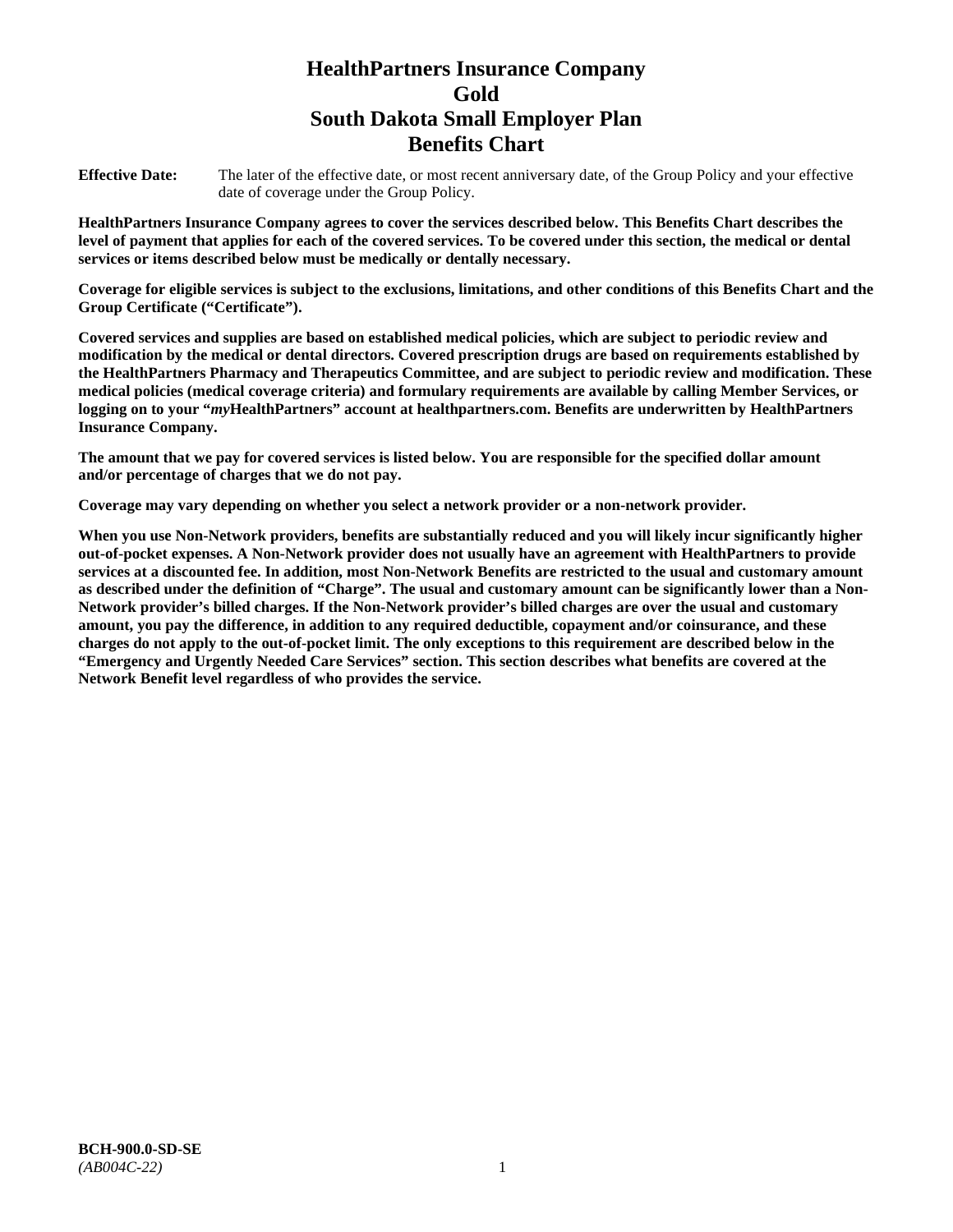# **HealthPartners Insurance Company Gold South Dakota Small Employer Plan Benefits Chart**

**Effective Date:** The later of the effective date, or most recent anniversary date, of the Group Policy and your effective date of coverage under the Group Policy.

**HealthPartners Insurance Company agrees to cover the services described below. This Benefits Chart describes the level of payment that applies for each of the covered services. To be covered under this section, the medical or dental services or items described below must be medically or dentally necessary.**

**Coverage for eligible services is subject to the exclusions, limitations, and other conditions of this Benefits Chart and the Group Certificate ("Certificate").**

**Covered services and supplies are based on established medical policies, which are subject to periodic review and modification by the medical or dental directors. Covered prescription drugs are based on requirements established by the HealthPartners Pharmacy and Therapeutics Committee, and are subject to periodic review and modification. These medical policies (medical coverage criteria) and formulary requirements are available by calling Member Services, or logging on to your "***my***HealthPartners" account at [healthpartners.com.](file://isntmacsrv0/www.healthpartners.com) Benefits are underwritten by HealthPartners Insurance Company.**

**The amount that we pay for covered services is listed below. You are responsible for the specified dollar amount and/or percentage of charges that we do not pay.**

**Coverage may vary depending on whether you select a network provider or a non-network provider.**

**When you use Non-Network providers, benefits are substantially reduced and you will likely incur significantly higher out-of-pocket expenses. A Non-Network provider does not usually have an agreement with HealthPartners to provide services at a discounted fee. In addition, most Non-Network Benefits are restricted to the usual and customary amount as described under the definition of "Charge". The usual and customary amount can be significantly lower than a Non-Network provider's billed charges. If the Non-Network provider's billed charges are over the usual and customary amount, you pay the difference, in addition to any required deductible, copayment and/or coinsurance, and these charges do not apply to the out-of-pocket limit. The only exceptions to this requirement are described below in the "Emergency and Urgently Needed Care Services" section. This section describes what benefits are covered at the Network Benefit level regardless of who provides the service.**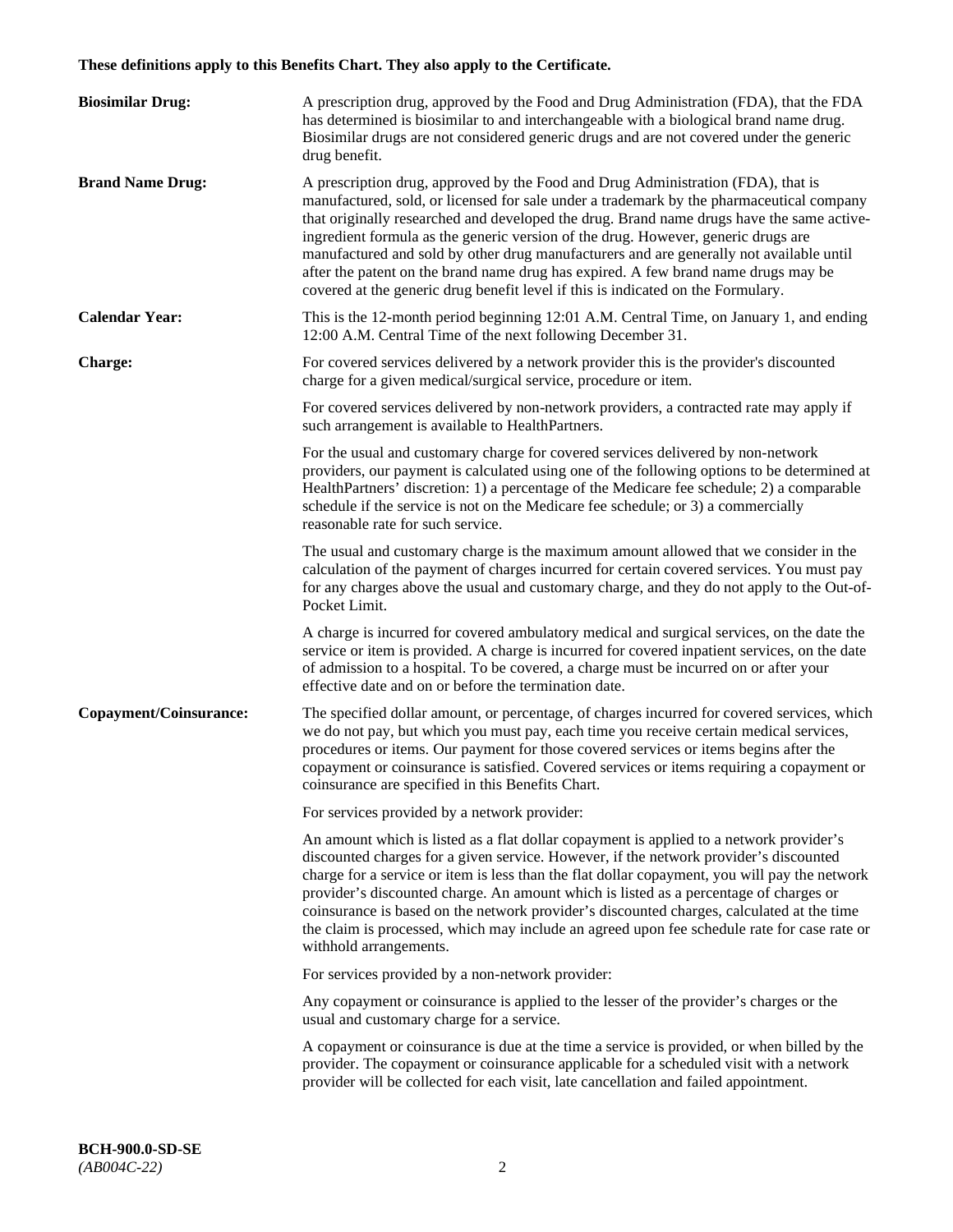# **These definitions apply to this Benefits Chart. They also apply to the Certificate.**

| <b>Biosimilar Drug:</b> | A prescription drug, approved by the Food and Drug Administration (FDA), that the FDA<br>has determined is biosimilar to and interchangeable with a biological brand name drug.<br>Biosimilar drugs are not considered generic drugs and are not covered under the generic<br>drug benefit.                                                                                                                                                                                                                                                                                                                                         |
|-------------------------|-------------------------------------------------------------------------------------------------------------------------------------------------------------------------------------------------------------------------------------------------------------------------------------------------------------------------------------------------------------------------------------------------------------------------------------------------------------------------------------------------------------------------------------------------------------------------------------------------------------------------------------|
| <b>Brand Name Drug:</b> | A prescription drug, approved by the Food and Drug Administration (FDA), that is<br>manufactured, sold, or licensed for sale under a trademark by the pharmaceutical company<br>that originally researched and developed the drug. Brand name drugs have the same active-<br>ingredient formula as the generic version of the drug. However, generic drugs are<br>manufactured and sold by other drug manufacturers and are generally not available until<br>after the patent on the brand name drug has expired. A few brand name drugs may be<br>covered at the generic drug benefit level if this is indicated on the Formulary. |
| <b>Calendar Year:</b>   | This is the 12-month period beginning 12:01 A.M. Central Time, on January 1, and ending<br>12:00 A.M. Central Time of the next following December 31.                                                                                                                                                                                                                                                                                                                                                                                                                                                                               |
| <b>Charge:</b>          | For covered services delivered by a network provider this is the provider's discounted<br>charge for a given medical/surgical service, procedure or item.                                                                                                                                                                                                                                                                                                                                                                                                                                                                           |
|                         | For covered services delivered by non-network providers, a contracted rate may apply if<br>such arrangement is available to HealthPartners.                                                                                                                                                                                                                                                                                                                                                                                                                                                                                         |
|                         | For the usual and customary charge for covered services delivered by non-network<br>providers, our payment is calculated using one of the following options to be determined at<br>HealthPartners' discretion: 1) a percentage of the Medicare fee schedule; 2) a comparable<br>schedule if the service is not on the Medicare fee schedule; or 3) a commercially<br>reasonable rate for such service.                                                                                                                                                                                                                              |
|                         | The usual and customary charge is the maximum amount allowed that we consider in the<br>calculation of the payment of charges incurred for certain covered services. You must pay<br>for any charges above the usual and customary charge, and they do not apply to the Out-of-<br>Pocket Limit.                                                                                                                                                                                                                                                                                                                                    |
|                         | A charge is incurred for covered ambulatory medical and surgical services, on the date the<br>service or item is provided. A charge is incurred for covered inpatient services, on the date<br>of admission to a hospital. To be covered, a charge must be incurred on or after your<br>effective date and on or before the termination date.                                                                                                                                                                                                                                                                                       |
| Copayment/Coinsurance:  | The specified dollar amount, or percentage, of charges incurred for covered services, which<br>we do not pay, but which you must pay, each time you receive certain medical services,<br>procedures or items. Our payment for those covered services or items begins after the<br>copayment or coinsurance is satisfied. Covered services or items requiring a copayment or<br>coinsurance are specified in this Benefits Chart.                                                                                                                                                                                                    |
|                         | For services provided by a network provider:                                                                                                                                                                                                                                                                                                                                                                                                                                                                                                                                                                                        |
|                         | An amount which is listed as a flat dollar copayment is applied to a network provider's<br>discounted charges for a given service. However, if the network provider's discounted<br>charge for a service or item is less than the flat dollar copayment, you will pay the network<br>provider's discounted charge. An amount which is listed as a percentage of charges or<br>coinsurance is based on the network provider's discounted charges, calculated at the time<br>the claim is processed, which may include an agreed upon fee schedule rate for case rate or<br>withhold arrangements.                                    |
|                         | For services provided by a non-network provider:                                                                                                                                                                                                                                                                                                                                                                                                                                                                                                                                                                                    |
|                         | Any copayment or coinsurance is applied to the lesser of the provider's charges or the<br>usual and customary charge for a service.                                                                                                                                                                                                                                                                                                                                                                                                                                                                                                 |
|                         | A copayment or coinsurance is due at the time a service is provided, or when billed by the<br>provider. The copayment or coinsurance applicable for a scheduled visit with a network<br>provider will be collected for each visit, late cancellation and failed appointment.                                                                                                                                                                                                                                                                                                                                                        |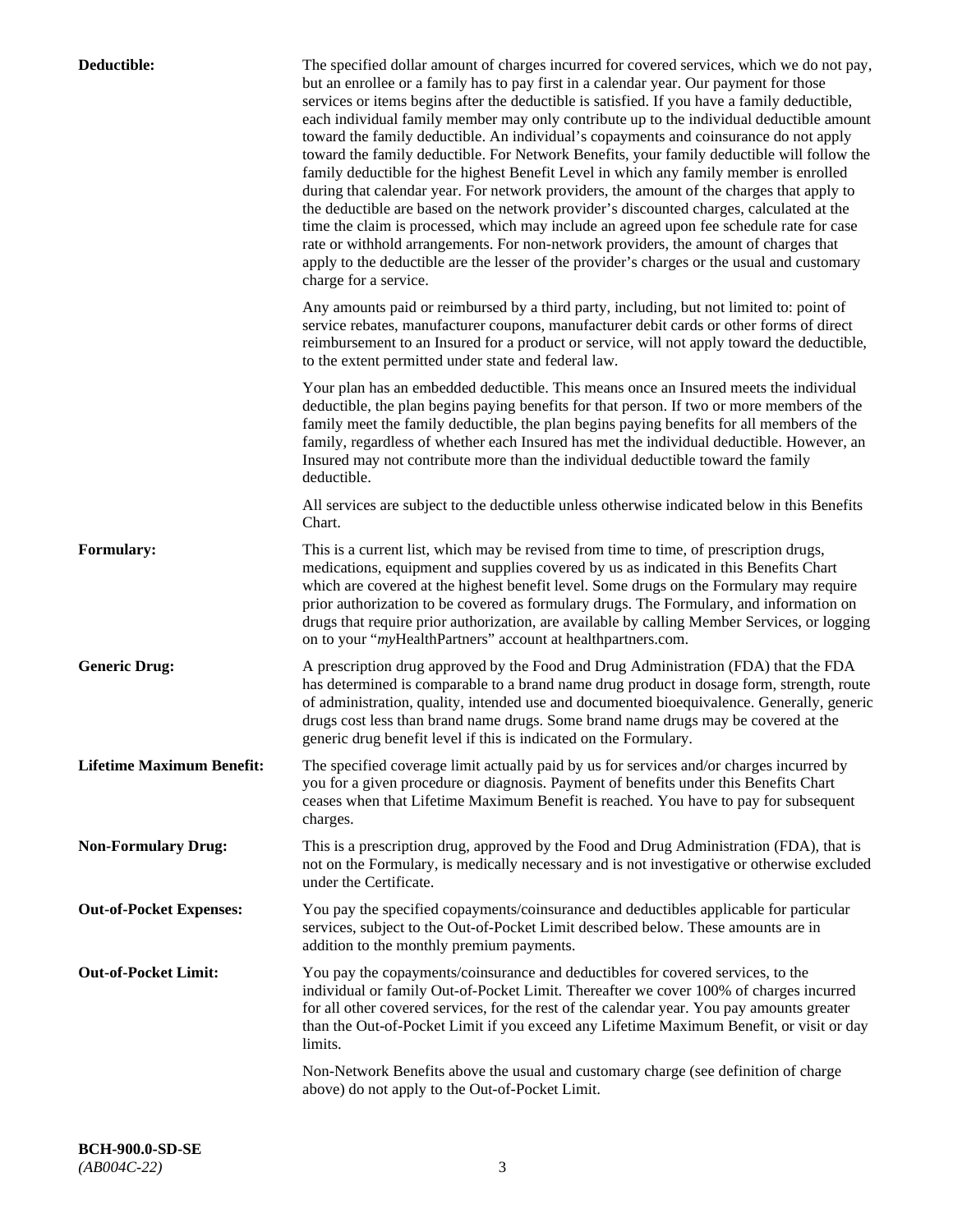| Deductible:                      | The specified dollar amount of charges incurred for covered services, which we do not pay,<br>but an enrollee or a family has to pay first in a calendar year. Our payment for those<br>services or items begins after the deductible is satisfied. If you have a family deductible,<br>each individual family member may only contribute up to the individual deductible amount<br>toward the family deductible. An individual's copayments and coinsurance do not apply<br>toward the family deductible. For Network Benefits, your family deductible will follow the<br>family deductible for the highest Benefit Level in which any family member is enrolled<br>during that calendar year. For network providers, the amount of the charges that apply to<br>the deductible are based on the network provider's discounted charges, calculated at the<br>time the claim is processed, which may include an agreed upon fee schedule rate for case<br>rate or withhold arrangements. For non-network providers, the amount of charges that<br>apply to the deductible are the lesser of the provider's charges or the usual and customary<br>charge for a service. |
|----------------------------------|------------------------------------------------------------------------------------------------------------------------------------------------------------------------------------------------------------------------------------------------------------------------------------------------------------------------------------------------------------------------------------------------------------------------------------------------------------------------------------------------------------------------------------------------------------------------------------------------------------------------------------------------------------------------------------------------------------------------------------------------------------------------------------------------------------------------------------------------------------------------------------------------------------------------------------------------------------------------------------------------------------------------------------------------------------------------------------------------------------------------------------------------------------------------|
|                                  | Any amounts paid or reimbursed by a third party, including, but not limited to: point of<br>service rebates, manufacturer coupons, manufacturer debit cards or other forms of direct<br>reimbursement to an Insured for a product or service, will not apply toward the deductible,<br>to the extent permitted under state and federal law.                                                                                                                                                                                                                                                                                                                                                                                                                                                                                                                                                                                                                                                                                                                                                                                                                            |
|                                  | Your plan has an embedded deductible. This means once an Insured meets the individual<br>deductible, the plan begins paying benefits for that person. If two or more members of the<br>family meet the family deductible, the plan begins paying benefits for all members of the<br>family, regardless of whether each Insured has met the individual deductible. However, an<br>Insured may not contribute more than the individual deductible toward the family<br>deductible.                                                                                                                                                                                                                                                                                                                                                                                                                                                                                                                                                                                                                                                                                       |
|                                  | All services are subject to the deductible unless otherwise indicated below in this Benefits<br>Chart.                                                                                                                                                                                                                                                                                                                                                                                                                                                                                                                                                                                                                                                                                                                                                                                                                                                                                                                                                                                                                                                                 |
| <b>Formulary:</b>                | This is a current list, which may be revised from time to time, of prescription drugs,<br>medications, equipment and supplies covered by us as indicated in this Benefits Chart<br>which are covered at the highest benefit level. Some drugs on the Formulary may require<br>prior authorization to be covered as formulary drugs. The Formulary, and information on<br>drugs that require prior authorization, are available by calling Member Services, or logging<br>on to your "myHealthPartners" account at healthpartners.com.                                                                                                                                                                                                                                                                                                                                                                                                                                                                                                                                                                                                                                  |
| <b>Generic Drug:</b>             | A prescription drug approved by the Food and Drug Administration (FDA) that the FDA<br>has determined is comparable to a brand name drug product in dosage form, strength, route<br>of administration, quality, intended use and documented bioequivalence. Generally, generic<br>drugs cost less than brand name drugs. Some brand name drugs may be covered at the<br>generic drug benefit level if this is indicated on the Formulary.                                                                                                                                                                                                                                                                                                                                                                                                                                                                                                                                                                                                                                                                                                                              |
| <b>Lifetime Maximum Benefit:</b> | The specified coverage limit actually paid by us for services and/or charges incurred by<br>you for a given procedure or diagnosis. Payment of benefits under this Benefits Chart<br>ceases when that Lifetime Maximum Benefit is reached. You have to pay for subsequent<br>charges.                                                                                                                                                                                                                                                                                                                                                                                                                                                                                                                                                                                                                                                                                                                                                                                                                                                                                  |
| <b>Non-Formulary Drug:</b>       | This is a prescription drug, approved by the Food and Drug Administration (FDA), that is<br>not on the Formulary, is medically necessary and is not investigative or otherwise excluded<br>under the Certificate.                                                                                                                                                                                                                                                                                                                                                                                                                                                                                                                                                                                                                                                                                                                                                                                                                                                                                                                                                      |
| <b>Out-of-Pocket Expenses:</b>   | You pay the specified copayments/coinsurance and deductibles applicable for particular<br>services, subject to the Out-of-Pocket Limit described below. These amounts are in<br>addition to the monthly premium payments.                                                                                                                                                                                                                                                                                                                                                                                                                                                                                                                                                                                                                                                                                                                                                                                                                                                                                                                                              |
| <b>Out-of-Pocket Limit:</b>      | You pay the copayments/coinsurance and deductibles for covered services, to the<br>individual or family Out-of-Pocket Limit. Thereafter we cover 100% of charges incurred<br>for all other covered services, for the rest of the calendar year. You pay amounts greater<br>than the Out-of-Pocket Limit if you exceed any Lifetime Maximum Benefit, or visit or day<br>limits.                                                                                                                                                                                                                                                                                                                                                                                                                                                                                                                                                                                                                                                                                                                                                                                         |
|                                  | Non-Network Benefits above the usual and customary charge (see definition of charge<br>above) do not apply to the Out-of-Pocket Limit.                                                                                                                                                                                                                                                                                                                                                                                                                                                                                                                                                                                                                                                                                                                                                                                                                                                                                                                                                                                                                                 |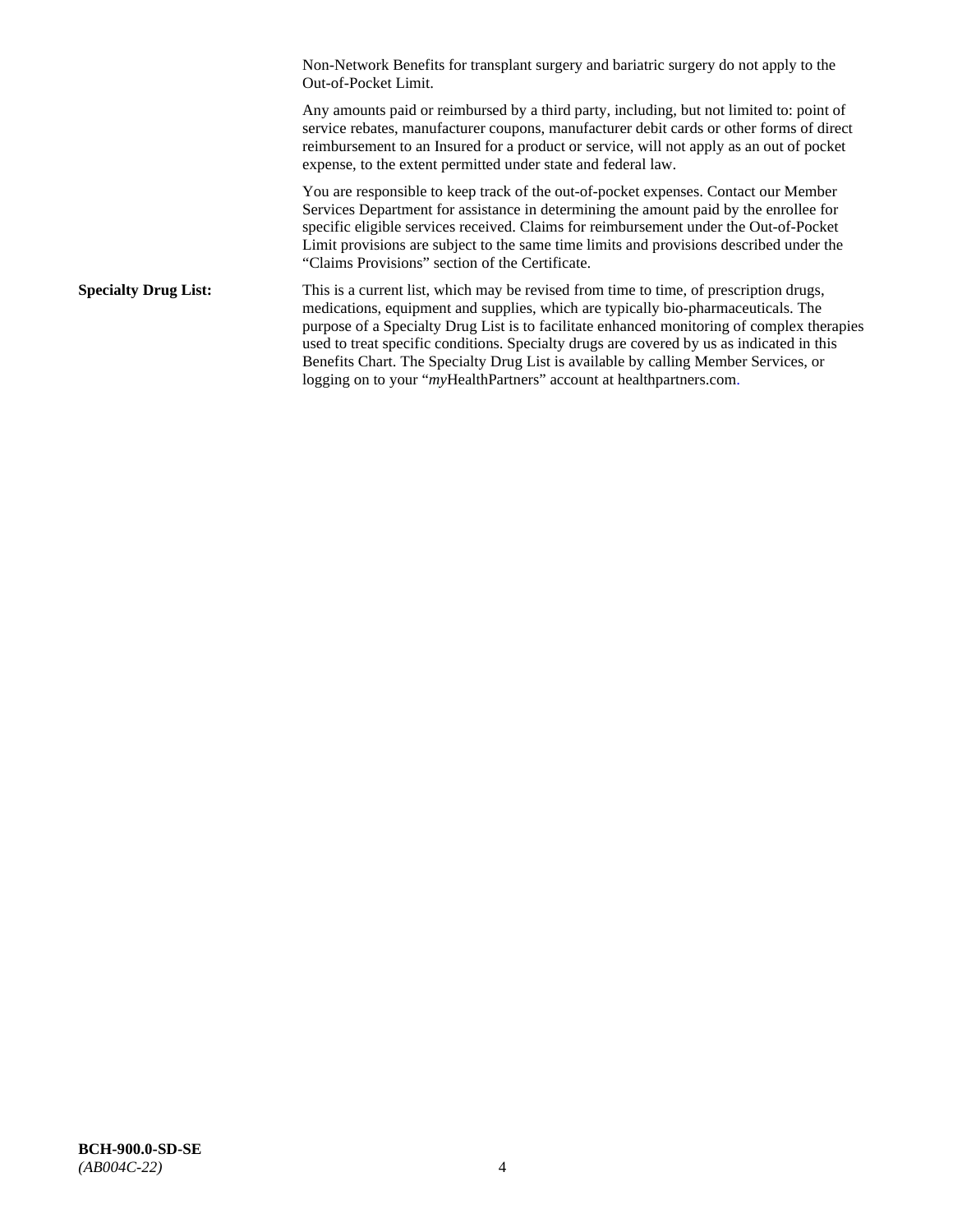Non-Network Benefits for transplant surgery and bariatric surgery do not apply to the Out-of-Pocket Limit.

Any amounts paid or reimbursed by a third party, including, but not limited to: point of service rebates, manufacturer coupons, manufacturer debit cards or other forms of direct reimbursement to an Insured for a product or service, will not apply as an out of pocket expense, to the extent permitted under state and federal law.

You are responsible to keep track of the out-of-pocket expenses. Contact our Member Services Department for assistance in determining the amount paid by the enrollee for specific eligible services received. Claims for reimbursement under the Out-of-Pocket Limit provisions are subject to the same time limits and provisions described under the "Claims Provisions" section of the Certificate.

**Specialty Drug List:** This is a current list, which may be revised from time to time, of prescription drugs, medications, equipment and supplies, which are typically bio-pharmaceuticals. The purpose of a Specialty Drug List is to facilitate enhanced monitoring of complex therapies used to treat specific conditions. Specialty drugs are covered by us as indicated in this Benefits Chart. The Specialty Drug List is available by calling Member Services, or logging on to your "myHealthPartners" account at [healthpartners.com.](http://healthpartners.com/)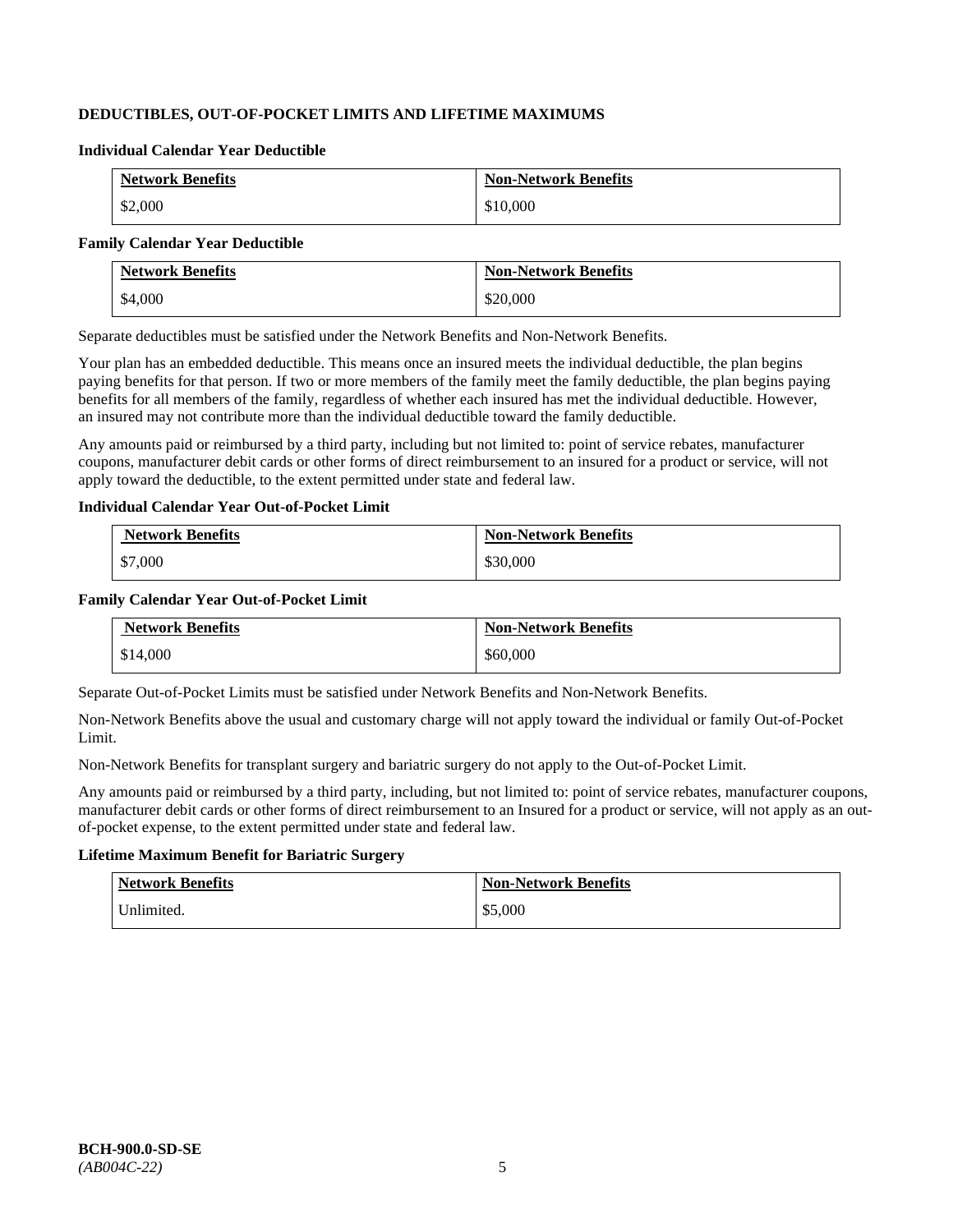# **DEDUCTIBLES, OUT-OF-POCKET LIMITS AND LIFETIME MAXIMUMS**

#### **Individual Calendar Year Deductible**

| <b>Network Benefits</b> | <b>Non-Network Benefits</b> |
|-------------------------|-----------------------------|
| \$2,000                 | \$10,000                    |

#### **Family Calendar Year Deductible**

| <b>Network Benefits</b> | <b>Non-Network Benefits</b> |
|-------------------------|-----------------------------|
| \$4,000                 | \$20,000                    |

Separate deductibles must be satisfied under the Network Benefits and Non-Network Benefits.

Your plan has an embedded deductible. This means once an insured meets the individual deductible, the plan begins paying benefits for that person. If two or more members of the family meet the family deductible, the plan begins paying benefits for all members of the family, regardless of whether each insured has met the individual deductible. However, an insured may not contribute more than the individual deductible toward the family deductible.

Any amounts paid or reimbursed by a third party, including but not limited to: point of service rebates, manufacturer coupons, manufacturer debit cards or other forms of direct reimbursement to an insured for a product or service, will not apply toward the deductible, to the extent permitted under state and federal law.

#### **Individual Calendar Year Out-of-Pocket Limit**

| <b>Network Benefits</b> | <b>Non-Network Benefits</b> |
|-------------------------|-----------------------------|
| \$7,000                 | \$30,000                    |

### **Family Calendar Year Out-of-Pocket Limit**

| <b>Network Benefits</b> | <b>Non-Network Benefits</b> |
|-------------------------|-----------------------------|
| \$14,000                | \$60,000                    |

Separate Out-of-Pocket Limits must be satisfied under Network Benefits and Non-Network Benefits.

Non-Network Benefits above the usual and customary charge will not apply toward the individual or family Out-of-Pocket Limit.

Non-Network Benefits for transplant surgery and bariatric surgery do not apply to the Out-of-Pocket Limit.

Any amounts paid or reimbursed by a third party, including, but not limited to: point of service rebates, manufacturer coupons, manufacturer debit cards or other forms of direct reimbursement to an Insured for a product or service, will not apply as an outof-pocket expense, to the extent permitted under state and federal law.

# **Lifetime Maximum Benefit for Bariatric Surgery**

| <b>Network Benefits</b> | <b>Non-Network Benefits</b> |
|-------------------------|-----------------------------|
| Unlimited.              | \$5,000                     |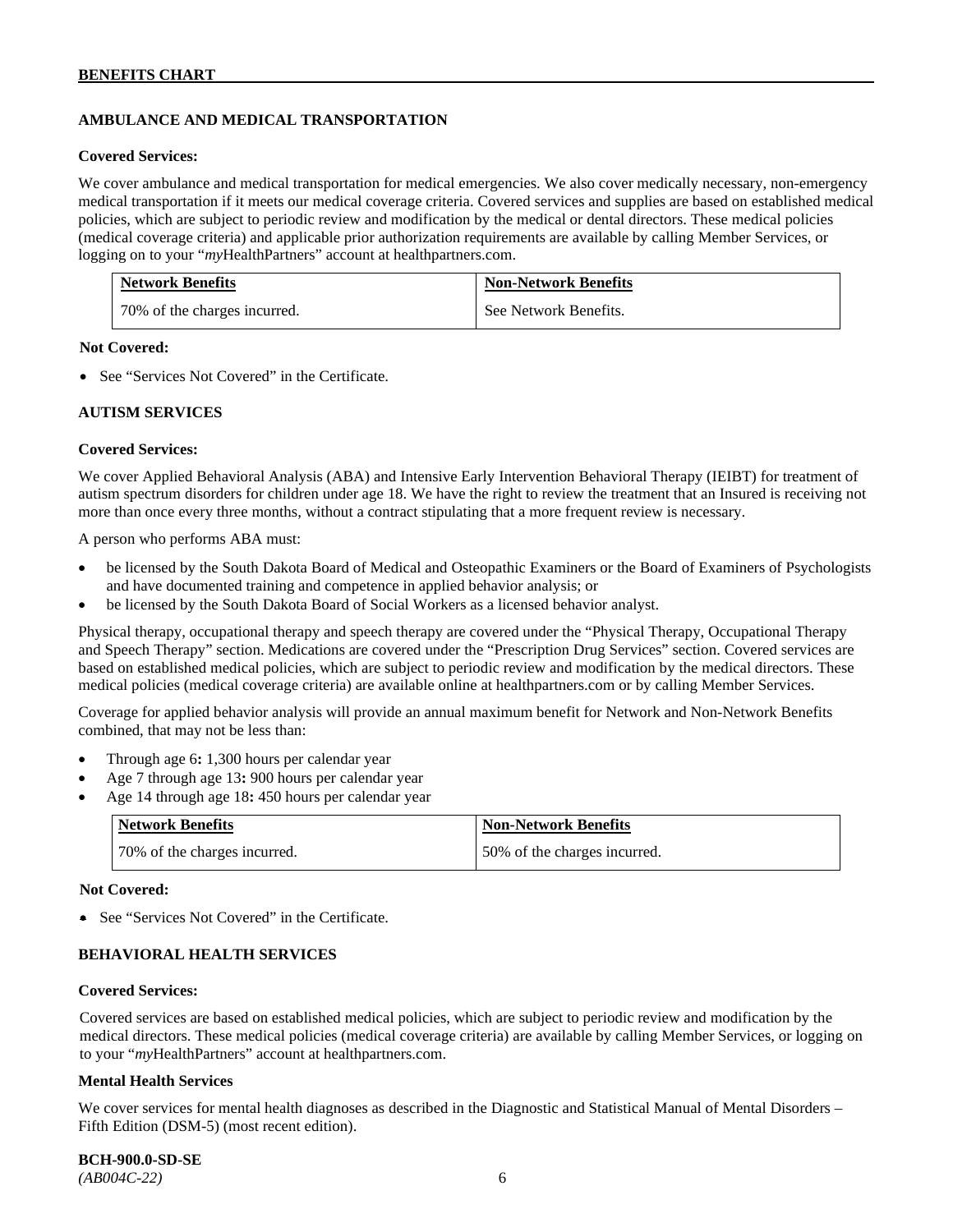# **AMBULANCE AND MEDICAL TRANSPORTATION**

#### **Covered Services:**

We cover ambulance and medical transportation for medical emergencies. We also cover medically necessary, non-emergency medical transportation if it meets our medical coverage criteria. Covered services and supplies are based on established medical policies, which are subject to periodic review and modification by the medical or dental directors. These medical policies (medical coverage criteria) and applicable prior authorization requirements are available by calling Member Services, or logging on to your "*my*HealthPartners" account at [healthpartners.com.](http://healthpartners.com/)

| <b>Network Benefits</b>      | <b>Non-Network Benefits</b> |
|------------------------------|-----------------------------|
| 70% of the charges incurred. | See Network Benefits.       |

#### **Not Covered:**

• See "Services Not Covered" in the Certificate.

#### **AUTISM SERVICES**

#### **Covered Services:**

We cover Applied Behavioral Analysis (ABA) and Intensive Early Intervention Behavioral Therapy (IEIBT) for treatment of autism spectrum disorders for children under age 18. We have the right to review the treatment that an Insured is receiving not more than once every three months, without a contract stipulating that a more frequent review is necessary.

A person who performs ABA must:

- be licensed by the South Dakota Board of Medical and Osteopathic Examiners or the Board of Examiners of Psychologists and have documented training and competence in applied behavior analysis; or
- be licensed by the South Dakota Board of Social Workers as a licensed behavior analyst.

Physical therapy, occupational therapy and speech therapy are covered under the "Physical Therapy, Occupational Therapy and Speech Therapy" section. Medications are covered under the "Prescription Drug Services" section. Covered services are based on established medical policies, which are subject to periodic review and modification by the medical directors. These medical policies (medical coverage criteria) are available online at [healthpartners.com](http://healthpartners.com/) or by calling Member Services.

Coverage for applied behavior analysis will provide an annual maximum benefit for Network and Non-Network Benefits combined, that may not be less than:

- Through age 6**:** 1,300 hours per calendar year
- Age 7 through age 13**:** 900 hours per calendar year
- Age 14 through age 18**:** 450 hours per calendar year

| <b>Network Benefits</b>      | <b>Non-Network Benefits</b>  |
|------------------------------|------------------------------|
| 70% of the charges incurred. | 50% of the charges incurred. |

#### **Not Covered:**

• See "Services Not Covered" in the Certificate.

### **BEHAVIORAL HEALTH SERVICES**

#### **Covered Services:**

Covered services are based on established medical policies, which are subject to periodic review and modification by the medical directors. These medical policies (medical coverage criteria) are available by calling Member Services, or logging on to your "*my*HealthPartners" account at [healthpartners.com.](http://healthpartners.com/)

#### **Mental Health Services**

We cover services for mental health diagnoses as described in the Diagnostic and Statistical Manual of Mental Disorders – Fifth Edition (DSM-5) (most recent edition).

**BCH-900.0-SD-SE**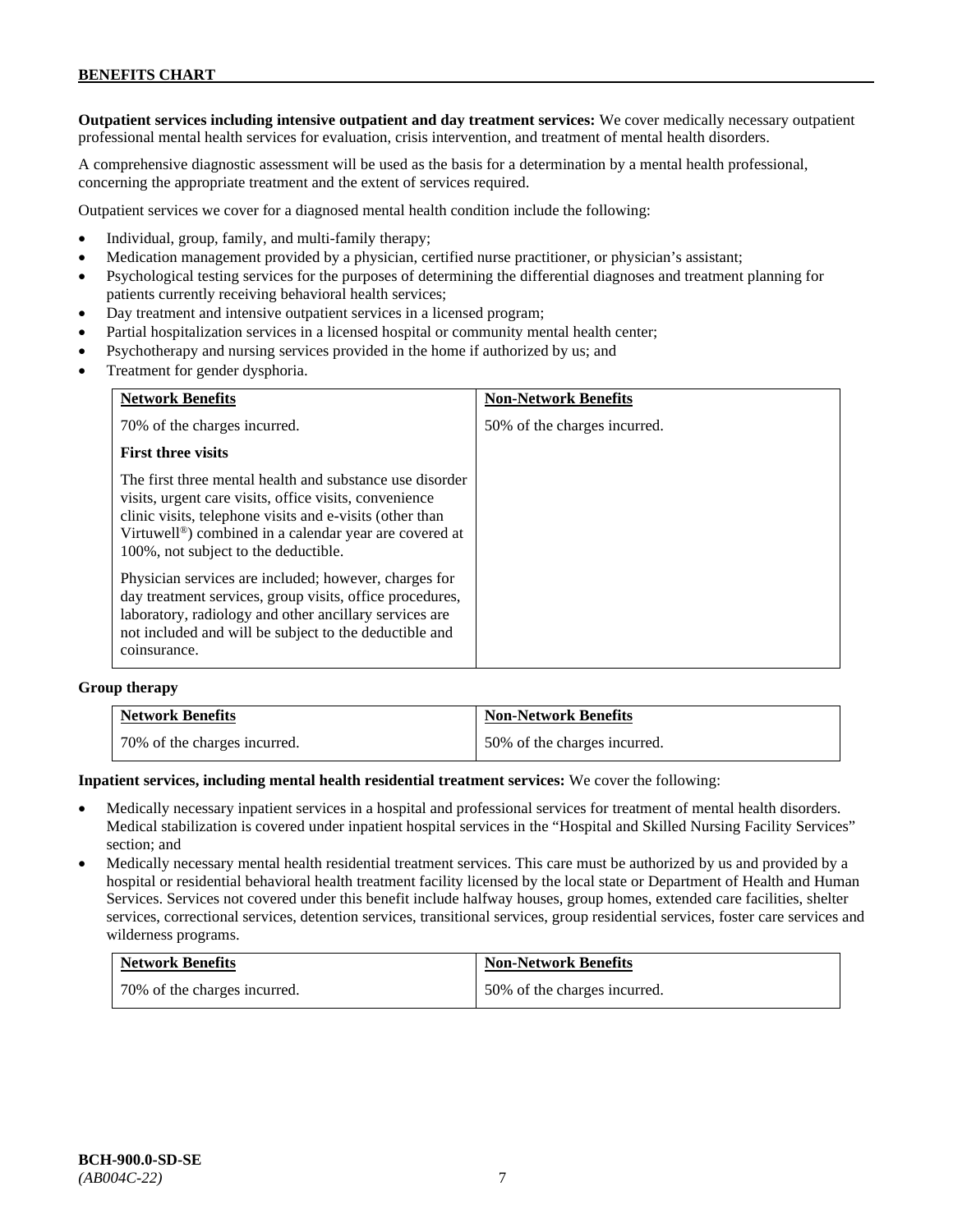**Outpatient services including intensive outpatient and day treatment services:** We cover medically necessary outpatient professional mental health services for evaluation, crisis intervention, and treatment of mental health disorders.

A comprehensive diagnostic assessment will be used as the basis for a determination by a mental health professional, concerning the appropriate treatment and the extent of services required.

Outpatient services we cover for a diagnosed mental health condition include the following:

- Individual, group, family, and multi-family therapy;
- Medication management provided by a physician, certified nurse practitioner, or physician's assistant;
- Psychological testing services for the purposes of determining the differential diagnoses and treatment planning for patients currently receiving behavioral health services;
- Day treatment and intensive outpatient services in a licensed program;
- Partial hospitalization services in a licensed hospital or community mental health center;
- Psychotherapy and nursing services provided in the home if authorized by us; and
- Treatment for gender dysphoria.

| <b>Network Benefits</b>                                                                                                                                                                                                                                                                       | <b>Non-Network Benefits</b>  |
|-----------------------------------------------------------------------------------------------------------------------------------------------------------------------------------------------------------------------------------------------------------------------------------------------|------------------------------|
| 70% of the charges incurred.                                                                                                                                                                                                                                                                  | 50% of the charges incurred. |
| <b>First three visits</b>                                                                                                                                                                                                                                                                     |                              |
| The first three mental health and substance use disorder<br>visits, urgent care visits, office visits, convenience<br>clinic visits, telephone visits and e-visits (other than<br>Virtuwell <sup>®</sup> ) combined in a calendar year are covered at<br>100%, not subject to the deductible. |                              |
| Physician services are included; however, charges for<br>day treatment services, group visits, office procedures,<br>laboratory, radiology and other ancillary services are<br>not included and will be subject to the deductible and<br>coinsurance.                                         |                              |

#### **Group therapy**

| <b>Network Benefits</b>      | <b>Non-Network Benefits</b>  |
|------------------------------|------------------------------|
| 70% of the charges incurred. | 50% of the charges incurred. |

#### **Inpatient services, including mental health residential treatment services:** We cover the following:

- Medically necessary inpatient services in a hospital and professional services for treatment of mental health disorders. Medical stabilization is covered under inpatient hospital services in the "Hospital and Skilled Nursing Facility Services" section; and
- Medically necessary mental health residential treatment services. This care must be authorized by us and provided by a hospital or residential behavioral health treatment facility licensed by the local state or Department of Health and Human Services. Services not covered under this benefit include halfway houses, group homes, extended care facilities, shelter services, correctional services, detention services, transitional services, group residential services, foster care services and wilderness programs.

| <b>Network Benefits</b>      | <b>Non-Network Benefits</b>  |
|------------------------------|------------------------------|
| 70% of the charges incurred. | 50% of the charges incurred. |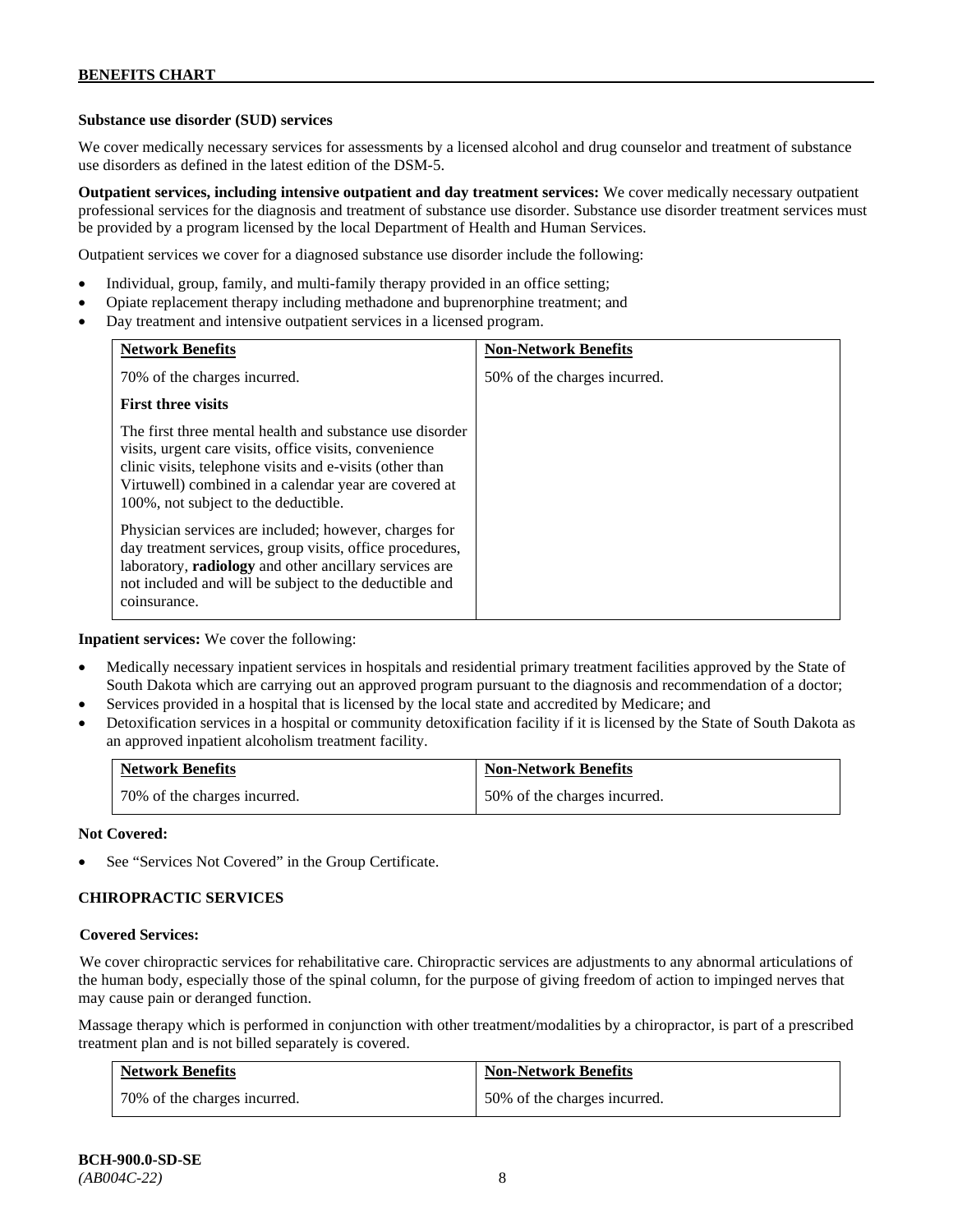### **Substance use disorder (SUD) services**

We cover medically necessary services for assessments by a licensed alcohol and drug counselor and treatment of substance use disorders as defined in the latest edition of the DSM-5.

**Outpatient services, including intensive outpatient and day treatment services:** We cover medically necessary outpatient professional services for the diagnosis and treatment of substance use disorder. Substance use disorder treatment services must be provided by a program licensed by the local Department of Health and Human Services.

Outpatient services we cover for a diagnosed substance use disorder include the following:

- Individual, group, family, and multi-family therapy provided in an office setting;
- Opiate replacement therapy including methadone and buprenorphine treatment; and
- Day treatment and intensive outpatient services in a licensed program.

| <b>Network Benefits</b>                                                                                                                                                                                                                                                         | <b>Non-Network Benefits</b>  |
|---------------------------------------------------------------------------------------------------------------------------------------------------------------------------------------------------------------------------------------------------------------------------------|------------------------------|
| 70% of the charges incurred.                                                                                                                                                                                                                                                    | 50% of the charges incurred. |
| <b>First three visits</b>                                                                                                                                                                                                                                                       |                              |
| The first three mental health and substance use disorder<br>visits, urgent care visits, office visits, convenience<br>clinic visits, telephone visits and e-visits (other than<br>Virtuwell) combined in a calendar year are covered at<br>100%, not subject to the deductible. |                              |
| Physician services are included; however, charges for<br>day treatment services, group visits, office procedures,<br>laboratory, radiology and other ancillary services are<br>not included and will be subject to the deductible and<br>coinsurance.                           |                              |

**Inpatient services:** We cover the following:

- Medically necessary inpatient services in hospitals and residential primary treatment facilities approved by the State of South Dakota which are carrying out an approved program pursuant to the diagnosis and recommendation of a doctor;
- Services provided in a hospital that is licensed by the local state and accredited by Medicare; and
- Detoxification services in a hospital or community detoxification facility if it is licensed by the State of South Dakota as an approved inpatient alcoholism treatment facility.

| <b>Network Benefits</b> |                              | <b>Non-Network Benefits</b>  |
|-------------------------|------------------------------|------------------------------|
|                         | 70% of the charges incurred. | 50% of the charges incurred. |

**Not Covered:**

See "Services Not Covered" in the Group Certificate.

### **CHIROPRACTIC SERVICES**

#### **Covered Services:**

We cover chiropractic services for rehabilitative care. Chiropractic services are adjustments to any abnormal articulations of the human body, especially those of the spinal column, for the purpose of giving freedom of action to impinged nerves that may cause pain or deranged function.

Massage therapy which is performed in conjunction with other treatment/modalities by a chiropractor, is part of a prescribed treatment plan and is not billed separately is covered.

| <b>Network Benefits</b>      | <b>Non-Network Benefits</b>  |
|------------------------------|------------------------------|
| 70% of the charges incurred. | 50% of the charges incurred. |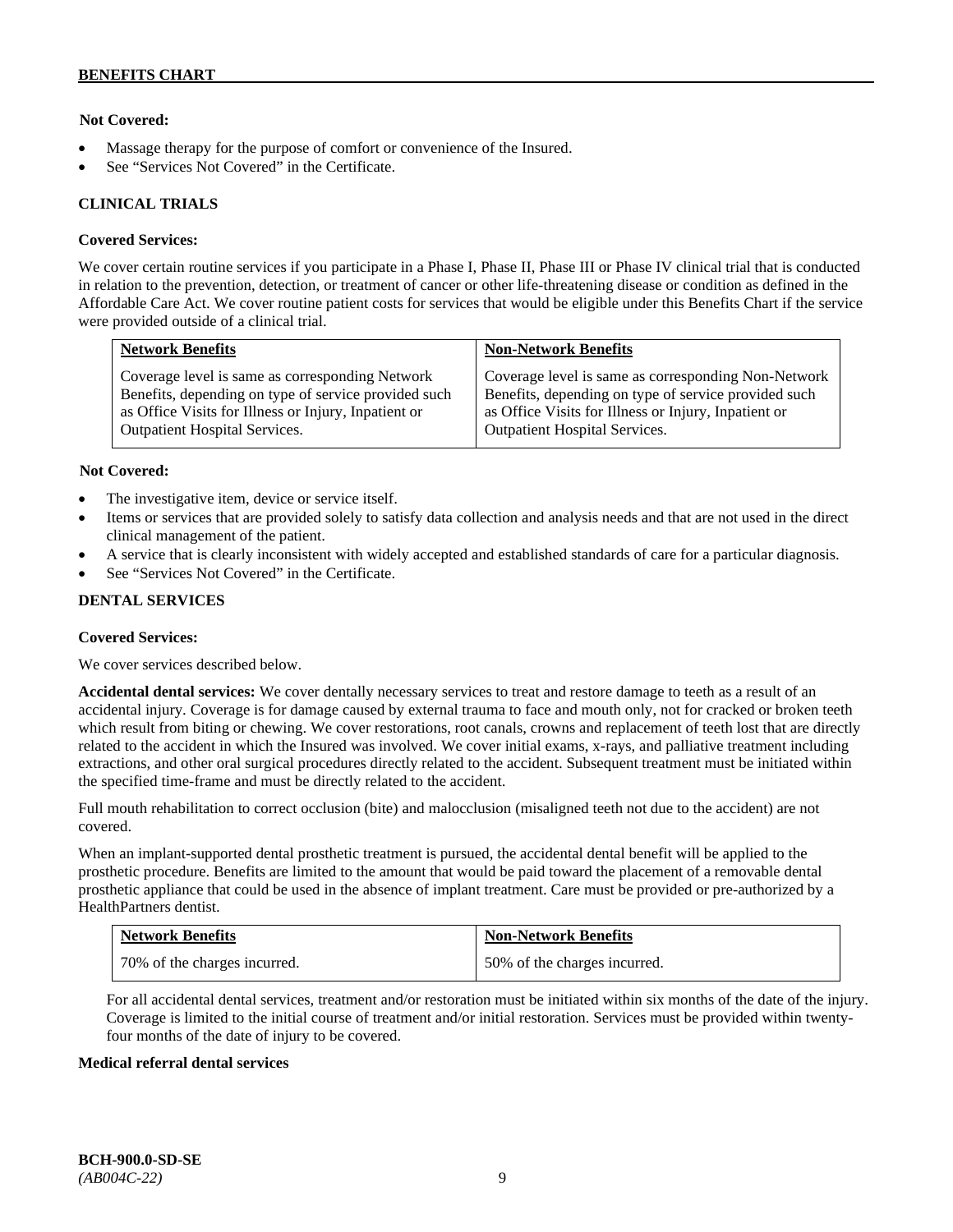### **Not Covered:**

- Massage therapy for the purpose of comfort or convenience of the Insured.
- See "Services Not Covered" in the Certificate.

### **CLINICAL TRIALS**

#### **Covered Services:**

We cover certain routine services if you participate in a Phase I, Phase II, Phase III or Phase IV clinical trial that is conducted in relation to the prevention, detection, or treatment of cancer or other life-threatening disease or condition as defined in the Affordable Care Act. We cover routine patient costs for services that would be eligible under this Benefits Chart if the service were provided outside of a clinical trial.

| <b>Network Benefits</b>                              | <b>Non-Network Benefits</b>                          |
|------------------------------------------------------|------------------------------------------------------|
| Coverage level is same as corresponding Network      | Coverage level is same as corresponding Non-Network  |
| Benefits, depending on type of service provided such | Benefits, depending on type of service provided such |
| as Office Visits for Illness or Injury, Inpatient or | as Office Visits for Illness or Injury, Inpatient or |
| <b>Outpatient Hospital Services.</b>                 | Outpatient Hospital Services.                        |

#### **Not Covered:**

- The investigative item, device or service itself.
- Items or services that are provided solely to satisfy data collection and analysis needs and that are not used in the direct clinical management of the patient.
- A service that is clearly inconsistent with widely accepted and established standards of care for a particular diagnosis.
- See "Services Not Covered" in the Certificate.

### **DENTAL SERVICES**

#### **Covered Services:**

We cover services described below.

**Accidental dental services:** We cover dentally necessary services to treat and restore damage to teeth as a result of an accidental injury. Coverage is for damage caused by external trauma to face and mouth only, not for cracked or broken teeth which result from biting or chewing. We cover restorations, root canals, crowns and replacement of teeth lost that are directly related to the accident in which the Insured was involved. We cover initial exams, x-rays, and palliative treatment including extractions, and other oral surgical procedures directly related to the accident. Subsequent treatment must be initiated within the specified time-frame and must be directly related to the accident.

Full mouth rehabilitation to correct occlusion (bite) and malocclusion (misaligned teeth not due to the accident) are not covered.

When an implant-supported dental prosthetic treatment is pursued, the accidental dental benefit will be applied to the prosthetic procedure. Benefits are limited to the amount that would be paid toward the placement of a removable dental prosthetic appliance that could be used in the absence of implant treatment. Care must be provided or pre-authorized by a HealthPartners dentist.

| <b>Network Benefits</b>      | <b>Non-Network Benefits</b>  |
|------------------------------|------------------------------|
| 70% of the charges incurred. | 50% of the charges incurred. |

For all accidental dental services, treatment and/or restoration must be initiated within six months of the date of the injury. Coverage is limited to the initial course of treatment and/or initial restoration. Services must be provided within twentyfour months of the date of injury to be covered.

#### **Medical referral dental services**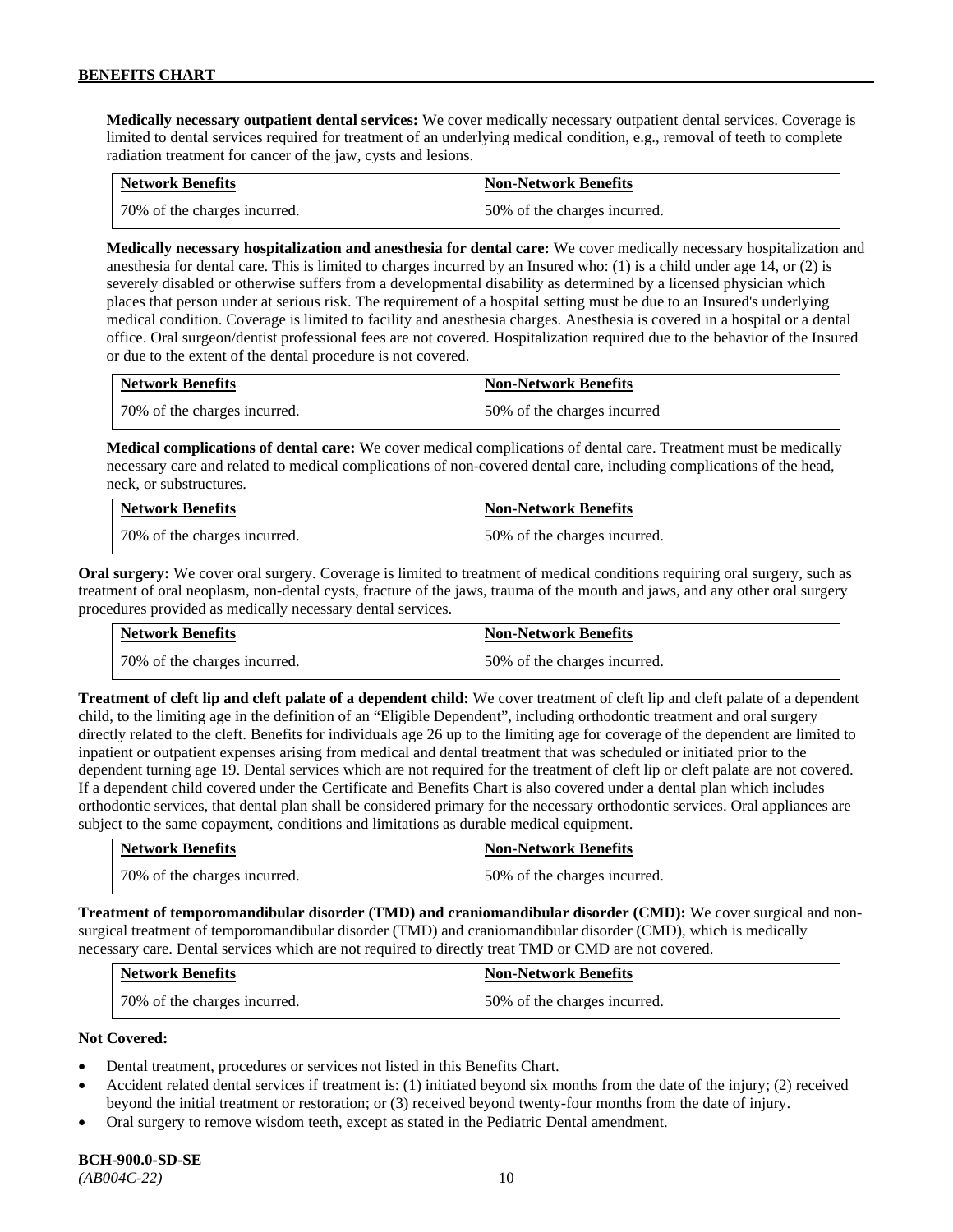**Medically necessary outpatient dental services:** We cover medically necessary outpatient dental services. Coverage is limited to dental services required for treatment of an underlying medical condition, e.g., removal of teeth to complete radiation treatment for cancer of the jaw, cysts and lesions.

| <b>Network Benefits</b>      | <b>Non-Network Benefits</b>  |
|------------------------------|------------------------------|
| 70% of the charges incurred. | 50% of the charges incurred. |

**Medically necessary hospitalization and anesthesia for dental care:** We cover medically necessary hospitalization and anesthesia for dental care. This is limited to charges incurred by an Insured who: (1) is a child under age 14, or (2) is severely disabled or otherwise suffers from a developmental disability as determined by a licensed physician which places that person under at serious risk. The requirement of a hospital setting must be due to an Insured's underlying medical condition. Coverage is limited to facility and anesthesia charges. Anesthesia is covered in a hospital or a dental office. Oral surgeon/dentist professional fees are not covered. Hospitalization required due to the behavior of the Insured or due to the extent of the dental procedure is not covered.

| <b>Network Benefits</b>      | <b>Non-Network Benefits</b> |
|------------------------------|-----------------------------|
| 70% of the charges incurred. | 50% of the charges incurred |

**Medical complications of dental care:** We cover medical complications of dental care. Treatment must be medically necessary care and related to medical complications of non-covered dental care, including complications of the head, neck, or substructures.

| <b>Network Benefits</b>      | <b>Non-Network Benefits</b>  |
|------------------------------|------------------------------|
| 70% of the charges incurred. | 50% of the charges incurred. |

**Oral surgery:** We cover oral surgery. Coverage is limited to treatment of medical conditions requiring oral surgery, such as treatment of oral neoplasm, non-dental cysts, fracture of the jaws, trauma of the mouth and jaws, and any other oral surgery procedures provided as medically necessary dental services.

| <b>Network Benefits</b>      | <b>Non-Network Benefits</b>  |
|------------------------------|------------------------------|
| 70% of the charges incurred. | 50% of the charges incurred. |

**Treatment of cleft lip and cleft palate of a dependent child:** We cover treatment of cleft lip and cleft palate of a dependent child, to the limiting age in the definition of an "Eligible Dependent", including orthodontic treatment and oral surgery directly related to the cleft. Benefits for individuals age 26 up to the limiting age for coverage of the dependent are limited to inpatient or outpatient expenses arising from medical and dental treatment that was scheduled or initiated prior to the dependent turning age 19. Dental services which are not required for the treatment of cleft lip or cleft palate are not covered. If a dependent child covered under the Certificate and Benefits Chart is also covered under a dental plan which includes orthodontic services, that dental plan shall be considered primary for the necessary orthodontic services. Oral appliances are subject to the same copayment, conditions and limitations as durable medical equipment.

| <b>Network Benefits</b>      | <b>Non-Network Benefits</b>  |
|------------------------------|------------------------------|
| 70% of the charges incurred. | 50% of the charges incurred. |

**Treatment of temporomandibular disorder (TMD) and craniomandibular disorder (CMD):** We cover surgical and nonsurgical treatment of temporomandibular disorder (TMD) and craniomandibular disorder (CMD), which is medically necessary care. Dental services which are not required to directly treat TMD or CMD are not covered.

| <b>Network Benefits</b>      | <b>Non-Network Benefits</b>  |
|------------------------------|------------------------------|
| 70% of the charges incurred. | 50% of the charges incurred. |

### **Not Covered:**

- Dental treatment, procedures or services not listed in this Benefits Chart.
- Accident related dental services if treatment is: (1) initiated beyond six months from the date of the injury; (2) received beyond the initial treatment or restoration; or (3) received beyond twenty-four months from the date of injury.
- Oral surgery to remove wisdom teeth, except as stated in the Pediatric Dental amendment.

# **BCH-900.0-SD-SE**

*(AB004C-22)* 10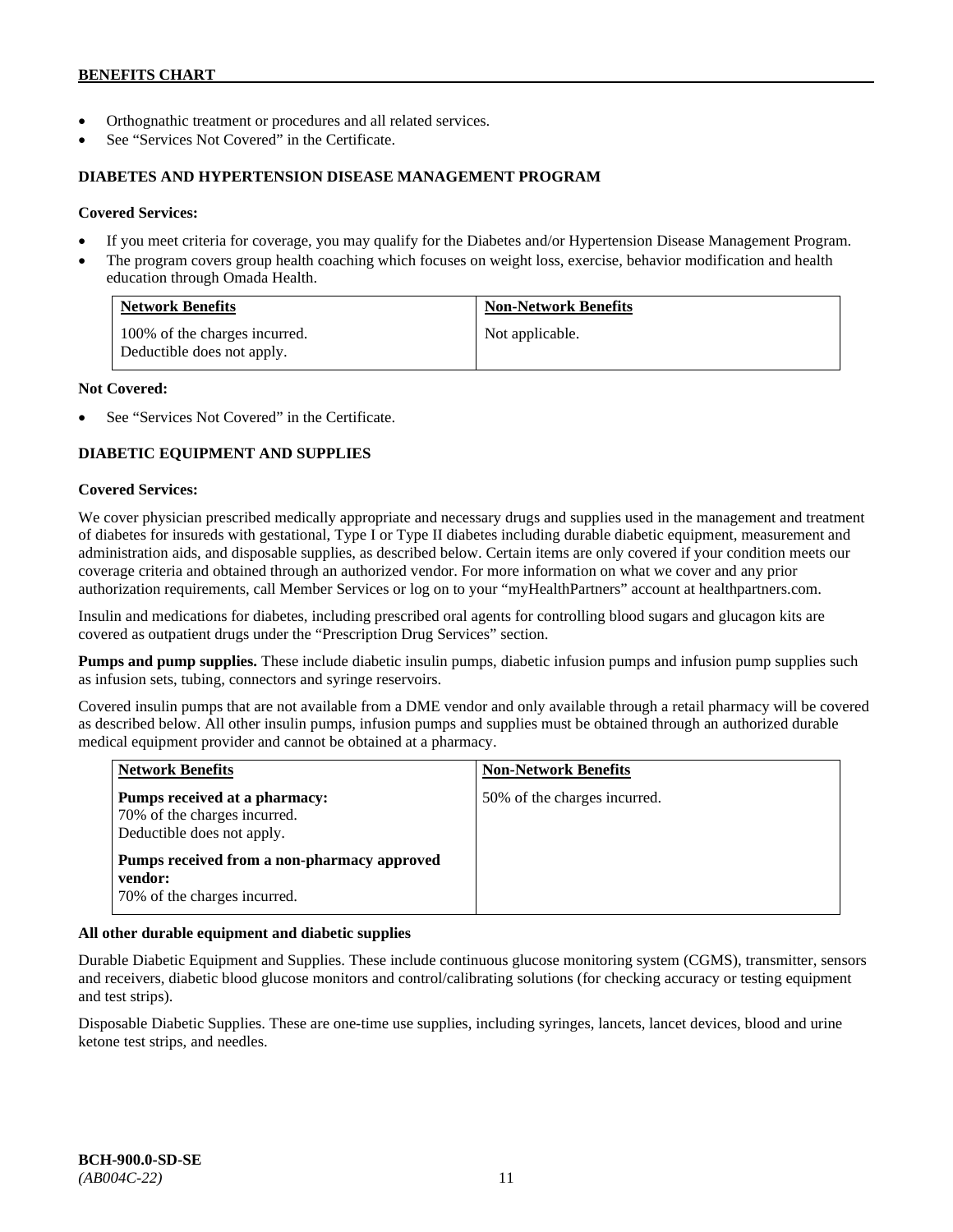- Orthognathic treatment or procedures and all related services.
- See "Services Not Covered" in the Certificate.

### **DIABETES AND HYPERTENSION DISEASE MANAGEMENT PROGRAM**

#### **Covered Services:**

- If you meet criteria for coverage, you may qualify for the Diabetes and/or Hypertension Disease Management Program.
- The program covers group health coaching which focuses on weight loss, exercise, behavior modification and health education through Omada Health.

| <b>Network Benefits</b>                                     | <b>Non-Network Benefits</b> |
|-------------------------------------------------------------|-----------------------------|
| 100% of the charges incurred.<br>Deductible does not apply. | Not applicable.             |

#### **Not Covered:**

See "Services Not Covered" in the Certificate.

# **DIABETIC EQUIPMENT AND SUPPLIES**

#### **Covered Services:**

We cover physician prescribed medically appropriate and necessary drugs and supplies used in the management and treatment of diabetes for insureds with gestational, Type I or Type II diabetes including durable diabetic equipment, measurement and administration aids, and disposable supplies, as described below. Certain items are only covered if your condition meets our coverage criteria and obtained through an authorized vendor. For more information on what we cover and any prior authorization requirements, call Member Services or log on to your "myHealthPartners" account at [healthpartners.com.](http://www.healthpartners.com/)

Insulin and medications for diabetes, including prescribed oral agents for controlling blood sugars and glucagon kits are covered as outpatient drugs under the "Prescription Drug Services" section.

**Pumps and pump supplies.** These include diabetic insulin pumps, diabetic infusion pumps and infusion pump supplies such as infusion sets, tubing, connectors and syringe reservoirs.

Covered insulin pumps that are not available from a DME vendor and only available through a retail pharmacy will be covered as described below. All other insulin pumps, infusion pumps and supplies must be obtained through an authorized durable medical equipment provider and cannot be obtained at a pharmacy.

| <b>Network Benefits</b>                                                                     | <b>Non-Network Benefits</b>  |
|---------------------------------------------------------------------------------------------|------------------------------|
| Pumps received at a pharmacy:<br>70% of the charges incurred.<br>Deductible does not apply. | 50% of the charges incurred. |
| Pumps received from a non-pharmacy approved<br>vendor:<br>70% of the charges incurred.      |                              |

### **All other durable equipment and diabetic supplies**

Durable Diabetic Equipment and Supplies. These include continuous glucose monitoring system (CGMS), transmitter, sensors and receivers, diabetic blood glucose monitors and control/calibrating solutions (for checking accuracy or testing equipment and test strips).

Disposable Diabetic Supplies. These are one-time use supplies, including syringes, lancets, lancet devices, blood and urine ketone test strips, and needles.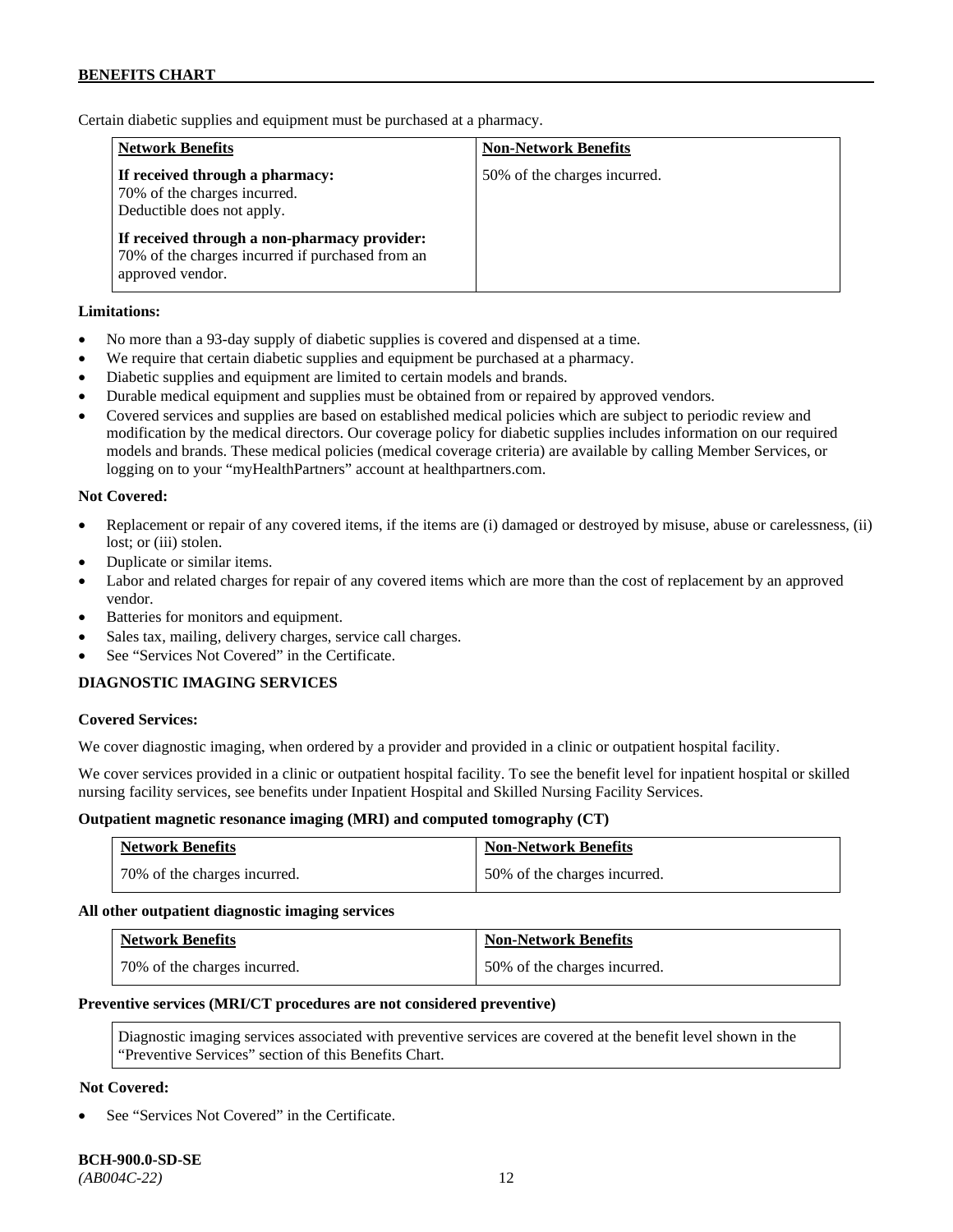Certain diabetic supplies and equipment must be purchased at a pharmacy.

| <b>Network Benefits</b>                                                                                              | <b>Non-Network Benefits</b>  |
|----------------------------------------------------------------------------------------------------------------------|------------------------------|
| If received through a pharmacy:<br>70% of the charges incurred.<br>Deductible does not apply.                        | 50% of the charges incurred. |
| If received through a non-pharmacy provider:<br>70% of the charges incurred if purchased from an<br>approved vendor. |                              |

### **Limitations:**

- No more than a 93-day supply of diabetic supplies is covered and dispensed at a time.
- We require that certain diabetic supplies and equipment be purchased at a pharmacy.
- Diabetic supplies and equipment are limited to certain models and brands.
- Durable medical equipment and supplies must be obtained from or repaired by approved vendors.
- Covered services and supplies are based on established medical policies which are subject to periodic review and modification by the medical directors. Our coverage policy for diabetic supplies includes information on our required models and brands. These medical policies (medical coverage criteria) are available by calling Member Services, or logging on to your "myHealthPartners" account at [healthpartners.com.](http://www.healthpartners.com/)

### **Not Covered:**

- Replacement or repair of any covered items, if the items are (i) damaged or destroyed by misuse, abuse or carelessness, (ii) lost; or (iii) stolen.
- Duplicate or similar items.
- Labor and related charges for repair of any covered items which are more than the cost of replacement by an approved vendor.
- Batteries for monitors and equipment.
- Sales tax, mailing, delivery charges, service call charges.
- See "Services Not Covered" in the Certificate.

### **DIAGNOSTIC IMAGING SERVICES**

#### **Covered Services:**

We cover diagnostic imaging, when ordered by a provider and provided in a clinic or outpatient hospital facility.

We cover services provided in a clinic or outpatient hospital facility. To see the benefit level for inpatient hospital or skilled nursing facility services, see benefits under Inpatient Hospital and Skilled Nursing Facility Services.

#### **Outpatient magnetic resonance imaging (MRI) and computed tomography (CT)**

| <b>Network Benefits</b>      | <b>Non-Network Benefits</b>  |
|------------------------------|------------------------------|
| 70% of the charges incurred. | 50% of the charges incurred. |

#### **All other outpatient diagnostic imaging services**

| <b>Network Benefits</b>      | <b>Non-Network Benefits</b>  |
|------------------------------|------------------------------|
| 70% of the charges incurred. | 50% of the charges incurred. |

#### **Preventive services (MRI/CT procedures are not considered preventive)**

Diagnostic imaging services associated with preventive services are covered at the benefit level shown in the "Preventive Services" section of this Benefits Chart.

### **Not Covered:**

See "Services Not Covered" in the Certificate.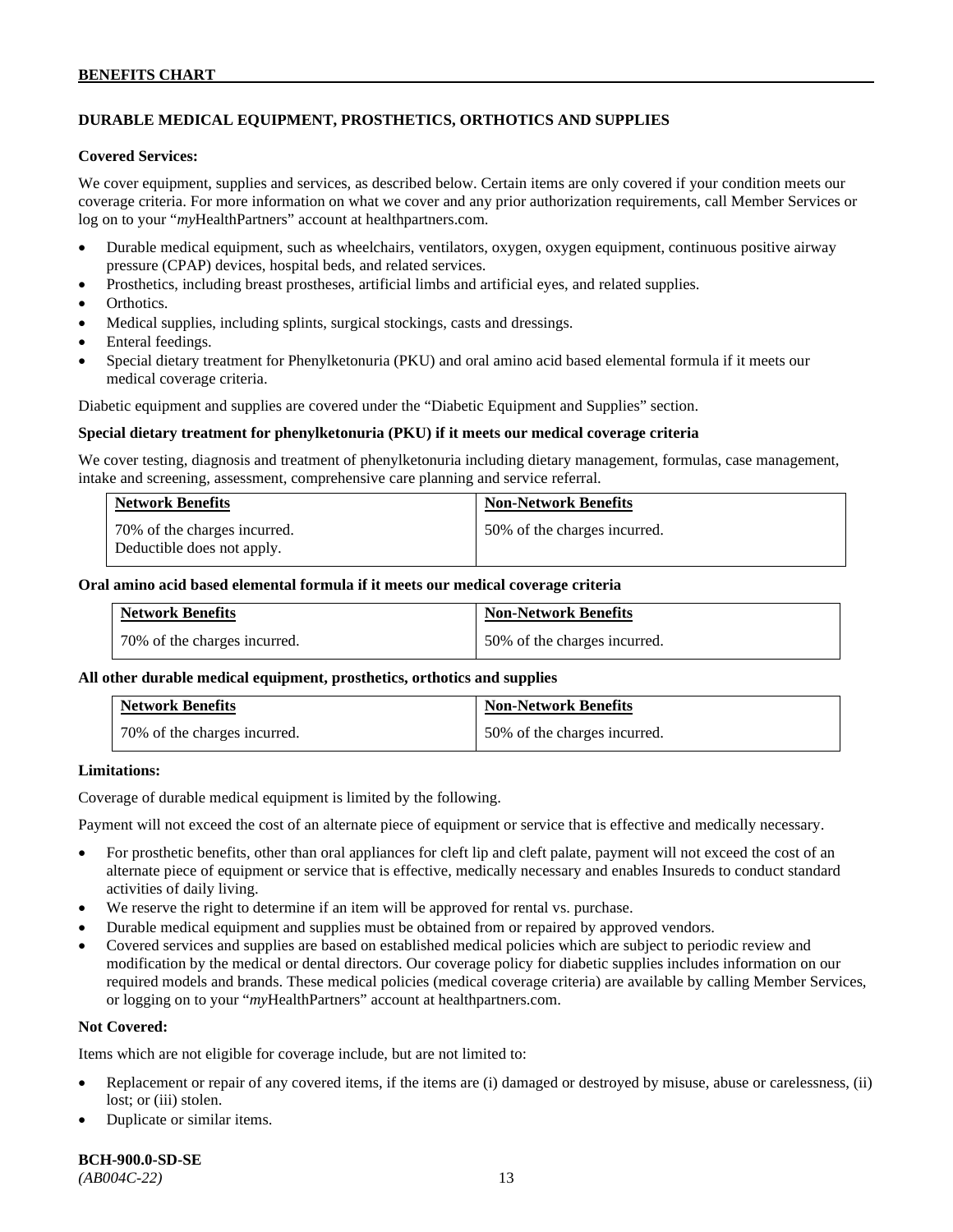# **DURABLE MEDICAL EQUIPMENT, PROSTHETICS, ORTHOTICS AND SUPPLIES**

#### **Covered Services:**

We cover equipment, supplies and services, as described below. Certain items are only covered if your condition meets our coverage criteria. For more information on what we cover and any prior authorization requirements, call Member Services or log on to your "*my*HealthPartners" account at [healthpartners.com.](http://healthpartners.com/)

- Durable medical equipment, such as wheelchairs, ventilators, oxygen, oxygen equipment, continuous positive airway pressure (CPAP) devices, hospital beds, and related services.
- Prosthetics, including breast prostheses, artificial limbs and artificial eyes, and related supplies.
- Orthotics.
- Medical supplies, including splints, surgical stockings, casts and dressings.
- Enteral feedings.
- Special dietary treatment for Phenylketonuria (PKU) and oral amino acid based elemental formula if it meets our medical coverage criteria.

Diabetic equipment and supplies are covered under the "Diabetic Equipment and Supplies" section.

#### **Special dietary treatment for phenylketonuria (PKU) if it meets our medical coverage criteria**

We cover testing, diagnosis and treatment of phenylketonuria including dietary management, formulas, case management, intake and screening, assessment, comprehensive care planning and service referral.

| <b>Network Benefits</b>                                    | <b>Non-Network Benefits</b>  |
|------------------------------------------------------------|------------------------------|
| 70% of the charges incurred.<br>Deductible does not apply. | 50% of the charges incurred. |

### **Oral amino acid based elemental formula if it meets our medical coverage criteria**

| <b>Network Benefits</b>      | <b>Non-Network Benefits</b>  |
|------------------------------|------------------------------|
| 70% of the charges incurred. | 50% of the charges incurred. |

#### **All other durable medical equipment, prosthetics, orthotics and supplies**

| <b>Network Benefits</b>      | <b>Non-Network Benefits</b>  |
|------------------------------|------------------------------|
| 70% of the charges incurred. | 50% of the charges incurred. |

#### **Limitations:**

Coverage of durable medical equipment is limited by the following.

Payment will not exceed the cost of an alternate piece of equipment or service that is effective and medically necessary.

- For prosthetic benefits, other than oral appliances for cleft lip and cleft palate, payment will not exceed the cost of an alternate piece of equipment or service that is effective, medically necessary and enables Insureds to conduct standard activities of daily living.
- We reserve the right to determine if an item will be approved for rental vs. purchase.
- Durable medical equipment and supplies must be obtained from or repaired by approved vendors.
- Covered services and supplies are based on established medical policies which are subject to periodic review and modification by the medical or dental directors. Our coverage policy for diabetic supplies includes information on our required models and brands. These medical policies (medical coverage criteria) are available by calling Member Services, or logging on to your "*my*HealthPartners" account at [healthpartners.com.](http://www.healthpartners.com/)

### **Not Covered:**

Items which are not eligible for coverage include, but are not limited to:

- Replacement or repair of any covered items, if the items are (i) damaged or destroyed by misuse, abuse or carelessness, (ii) lost; or (iii) stolen.
- Duplicate or similar items.

**BCH-900.0-SD-SE** 

*(AB004C-22)* 13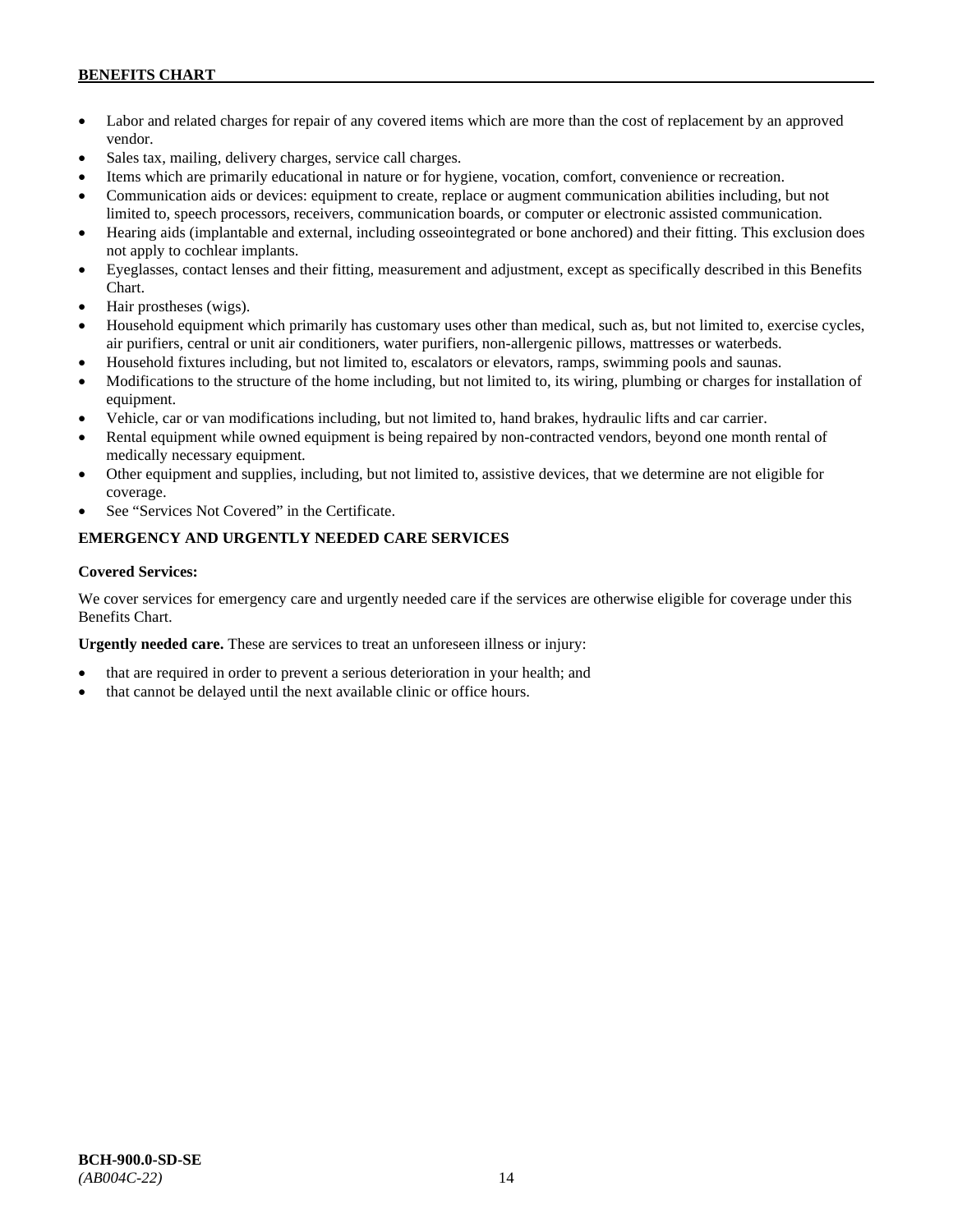- Labor and related charges for repair of any covered items which are more than the cost of replacement by an approved vendor.
- Sales tax, mailing, delivery charges, service call charges.
- Items which are primarily educational in nature or for hygiene, vocation, comfort, convenience or recreation.
- Communication aids or devices: equipment to create, replace or augment communication abilities including, but not limited to, speech processors, receivers, communication boards, or computer or electronic assisted communication.
- Hearing aids (implantable and external, including osseointegrated or bone anchored) and their fitting. This exclusion does not apply to cochlear implants.
- Eyeglasses, contact lenses and their fitting, measurement and adjustment, except as specifically described in this Benefits Chart.
- Hair prostheses (wigs).
- Household equipment which primarily has customary uses other than medical, such as, but not limited to, exercise cycles, air purifiers, central or unit air conditioners, water purifiers, non-allergenic pillows, mattresses or waterbeds.
- Household fixtures including, but not limited to, escalators or elevators, ramps, swimming pools and saunas.
- Modifications to the structure of the home including, but not limited to, its wiring, plumbing or charges for installation of equipment.
- Vehicle, car or van modifications including, but not limited to, hand brakes, hydraulic lifts and car carrier.
- Rental equipment while owned equipment is being repaired by non-contracted vendors, beyond one month rental of medically necessary equipment.
- Other equipment and supplies, including, but not limited to, assistive devices, that we determine are not eligible for coverage.
- See "Services Not Covered" in the Certificate.

# **EMERGENCY AND URGENTLY NEEDED CARE SERVICES**

### **Covered Services:**

We cover services for emergency care and urgently needed care if the services are otherwise eligible for coverage under this Benefits Chart.

**Urgently needed care.** These are services to treat an unforeseen illness or injury:

- that are required in order to prevent a serious deterioration in your health; and
- that cannot be delayed until the next available clinic or office hours.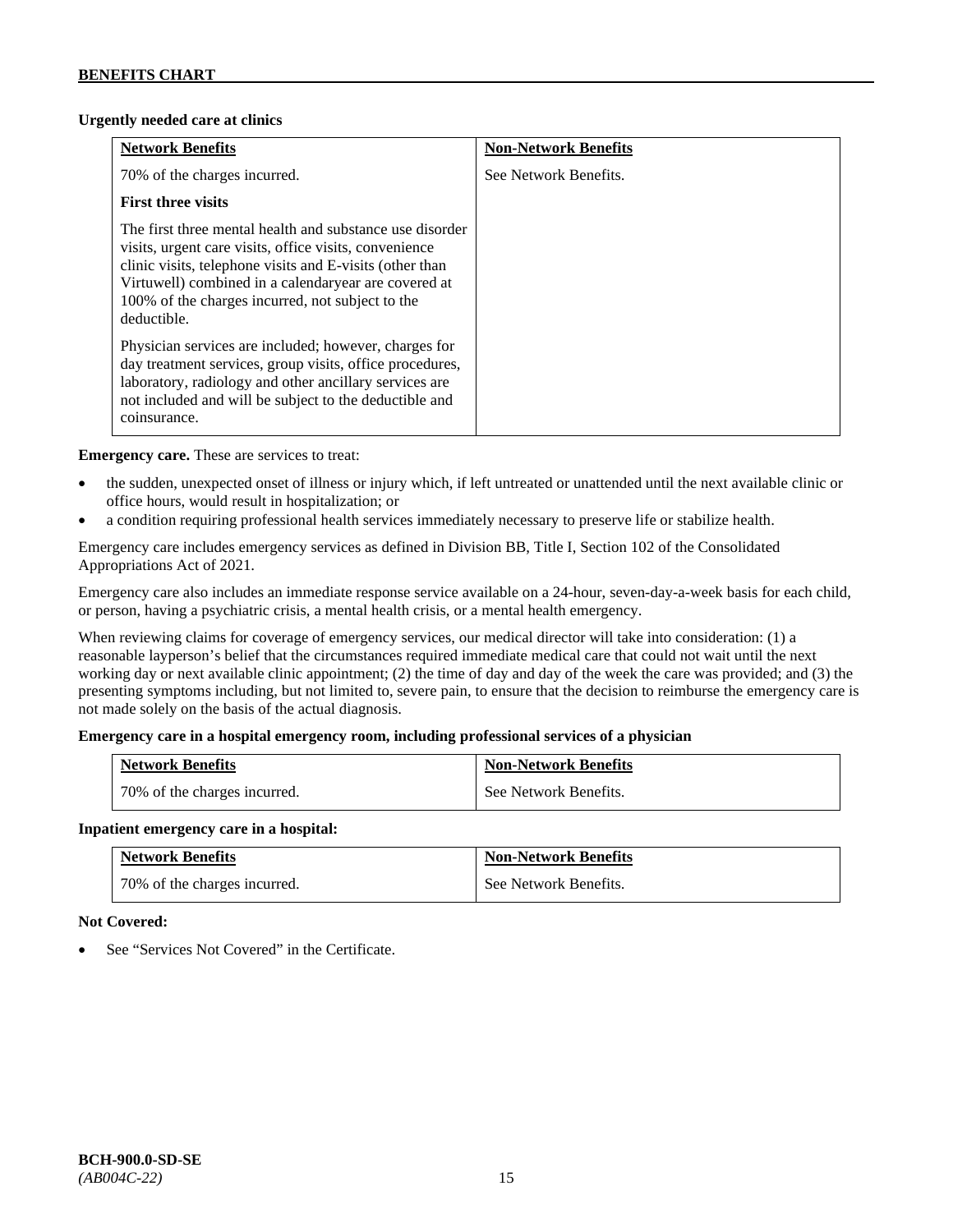### **Urgently needed care at clinics**

| <b>Network Benefits</b>                                                                                                                                                                                                                                                                                   | <b>Non-Network Benefits</b> |
|-----------------------------------------------------------------------------------------------------------------------------------------------------------------------------------------------------------------------------------------------------------------------------------------------------------|-----------------------------|
| 70% of the charges incurred.                                                                                                                                                                                                                                                                              | See Network Benefits.       |
| <b>First three visits</b>                                                                                                                                                                                                                                                                                 |                             |
| The first three mental health and substance use disorder<br>visits, urgent care visits, office visits, convenience<br>clinic visits, telephone visits and E-visits (other than<br>Virtuwell) combined in a calendaryear are covered at<br>100% of the charges incurred, not subject to the<br>deductible. |                             |
| Physician services are included; however, charges for<br>day treatment services, group visits, office procedures,<br>laboratory, radiology and other ancillary services are<br>not included and will be subject to the deductible and<br>coinsurance.                                                     |                             |

**Emergency care.** These are services to treat:

- the sudden, unexpected onset of illness or injury which, if left untreated or unattended until the next available clinic or office hours, would result in hospitalization; or
- a condition requiring professional health services immediately necessary to preserve life or stabilize health.

Emergency care includes emergency services as defined in Division BB, Title I, Section 102 of the Consolidated Appropriations Act of 2021.

Emergency care also includes an immediate response service available on a 24-hour, seven-day-a-week basis for each child, or person, having a psychiatric crisis, a mental health crisis, or a mental health emergency.

When reviewing claims for coverage of emergency services, our medical director will take into consideration: (1) a reasonable layperson's belief that the circumstances required immediate medical care that could not wait until the next working day or next available clinic appointment; (2) the time of day and day of the week the care was provided; and (3) the presenting symptoms including, but not limited to, severe pain, to ensure that the decision to reimburse the emergency care is not made solely on the basis of the actual diagnosis.

### **Emergency care in a hospital emergency room, including professional services of a physician**

| <b>Network Benefits</b>      | <b>Non-Network Benefits</b> |
|------------------------------|-----------------------------|
| 70% of the charges incurred. | See Network Benefits.       |

### **Inpatient emergency care in a hospital:**

| <b>Network Benefits</b>      | <b>Non-Network Benefits</b> |
|------------------------------|-----------------------------|
| 70% of the charges incurred. | See Network Benefits.       |

### **Not Covered:**

See "Services Not Covered" in the Certificate.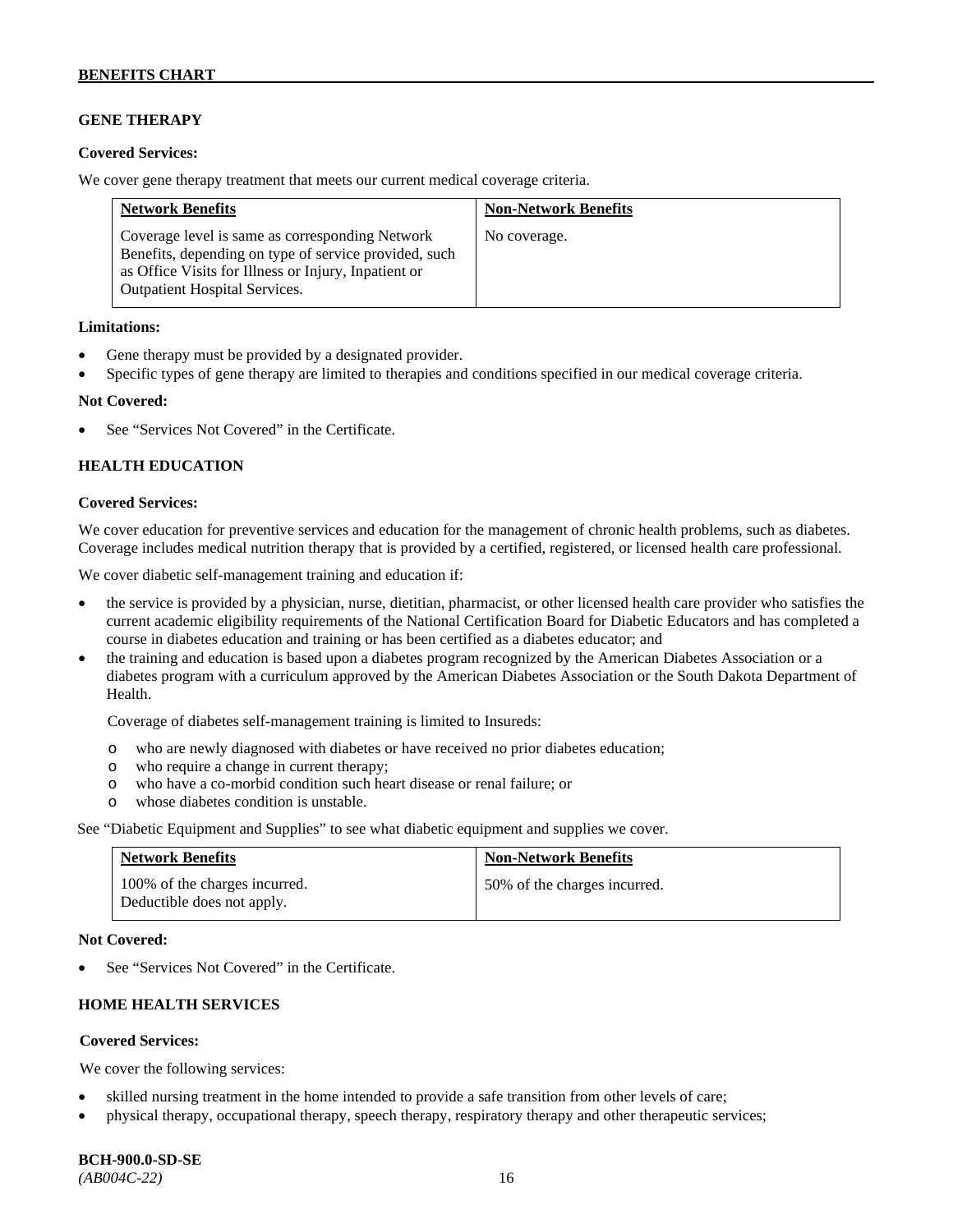### **GENE THERAPY**

### **Covered Services:**

We cover gene therapy treatment that meets our current medical coverage criteria.

| <b>Network Benefits</b>                                                                                                                                                                                  | <b>Non-Network Benefits</b> |
|----------------------------------------------------------------------------------------------------------------------------------------------------------------------------------------------------------|-----------------------------|
| Coverage level is same as corresponding Network<br>Benefits, depending on type of service provided, such<br>as Office Visits for Illness or Injury, Inpatient or<br><b>Outpatient Hospital Services.</b> | No coverage.                |

#### **Limitations:**

- Gene therapy must be provided by a designated provider.
- Specific types of gene therapy are limited to therapies and conditions specified in our medical coverage criteria.

#### **Not Covered:**

See "Services Not Covered" in the Certificate.

### **HEALTH EDUCATION**

#### **Covered Services:**

We cover education for preventive services and education for the management of chronic health problems, such as diabetes. Coverage includes medical nutrition therapy that is provided by a certified, registered, or licensed health care professional.

We cover diabetic self-management training and education if:

- the service is provided by a physician, nurse, dietitian, pharmacist, or other licensed health care provider who satisfies the current academic eligibility requirements of the National Certification Board for Diabetic Educators and has completed a course in diabetes education and training or has been certified as a diabetes educator; and
- the training and education is based upon a diabetes program recognized by the American Diabetes Association or a diabetes program with a curriculum approved by the American Diabetes Association or the South Dakota Department of Health.

Coverage of diabetes self-management training is limited to Insureds:

- o who are newly diagnosed with diabetes or have received no prior diabetes education;
- o who require a change in current therapy;<br>o who have a co-morbid condition such heal
- who have a co-morbid condition such heart disease or renal failure; or
- o whose diabetes condition is unstable.

See "Diabetic Equipment and Supplies" to see what diabetic equipment and supplies we cover.

| <b>Network Benefits</b>                                     | <b>Non-Network Benefits</b>  |
|-------------------------------------------------------------|------------------------------|
| 100% of the charges incurred.<br>Deductible does not apply. | 50% of the charges incurred. |

#### **Not Covered:**

See "Services Not Covered" in the Certificate.

## **HOME HEALTH SERVICES**

#### **Covered Services:**

We cover the following services:

- skilled nursing treatment in the home intended to provide a safe transition from other levels of care;
- physical therapy, occupational therapy, speech therapy, respiratory therapy and other therapeutic services;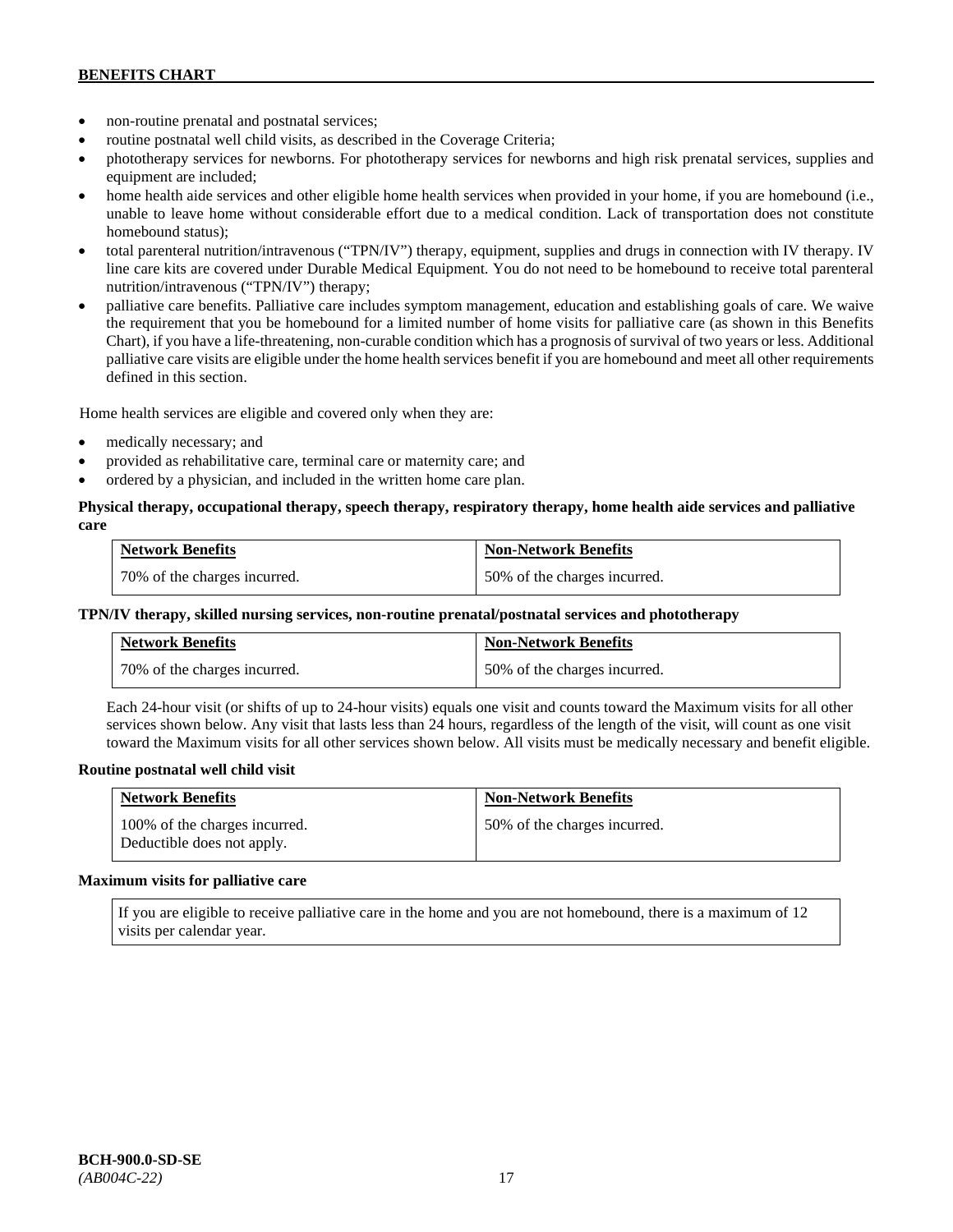- non-routine prenatal and postnatal services;
- routine postnatal well child visits, as described in the Coverage Criteria;
- phototherapy services for newborns. For phototherapy services for newborns and high risk prenatal services, supplies and equipment are included;
- home health aide services and other eligible home health services when provided in your home, if you are homebound (i.e., unable to leave home without considerable effort due to a medical condition. Lack of transportation does not constitute homebound status);
- total parenteral nutrition/intravenous ("TPN/IV") therapy, equipment, supplies and drugs in connection with IV therapy. IV line care kits are covered under Durable Medical Equipment. You do not need to be homebound to receive total parenteral nutrition/intravenous ("TPN/IV") therapy;
- palliative care benefits. Palliative care includes symptom management, education and establishing goals of care. We waive the requirement that you be homebound for a limited number of home visits for palliative care (as shown in this Benefits Chart), if you have a life-threatening, non-curable condition which has a prognosis of survival of two years or less. Additional palliative care visits are eligible under the home health services benefit if you are homebound and meet all other requirements defined in this section.

Home health services are eligible and covered only when they are:

- medically necessary; and
- provided as rehabilitative care, terminal care or maternity care; and
- ordered by a physician, and included in the written home care plan.

### **Physical therapy, occupational therapy, speech therapy, respiratory therapy, home health aide services and palliative care**

| <b>Network Benefits</b>      | <b>Non-Network Benefits</b>  |
|------------------------------|------------------------------|
| 70% of the charges incurred. | 50% of the charges incurred. |

### **TPN/IV therapy, skilled nursing services, non-routine prenatal/postnatal services and phototherapy**

| <b>Network Benefits</b>        | <b>Non-Network Benefits</b>  |
|--------------------------------|------------------------------|
| 1 70% of the charges incurred. | 50% of the charges incurred. |

Each 24-hour visit (or shifts of up to 24-hour visits) equals one visit and counts toward the Maximum visits for all other services shown below. Any visit that lasts less than 24 hours, regardless of the length of the visit, will count as one visit toward the Maximum visits for all other services shown below. All visits must be medically necessary and benefit eligible.

### **Routine postnatal well child visit**

| <b>Network Benefits</b>                                     | <b>Non-Network Benefits</b>  |
|-------------------------------------------------------------|------------------------------|
| 100% of the charges incurred.<br>Deductible does not apply. | 50% of the charges incurred. |

#### **Maximum visits for palliative care**

If you are eligible to receive palliative care in the home and you are not homebound, there is a maximum of 12 visits per calendar year.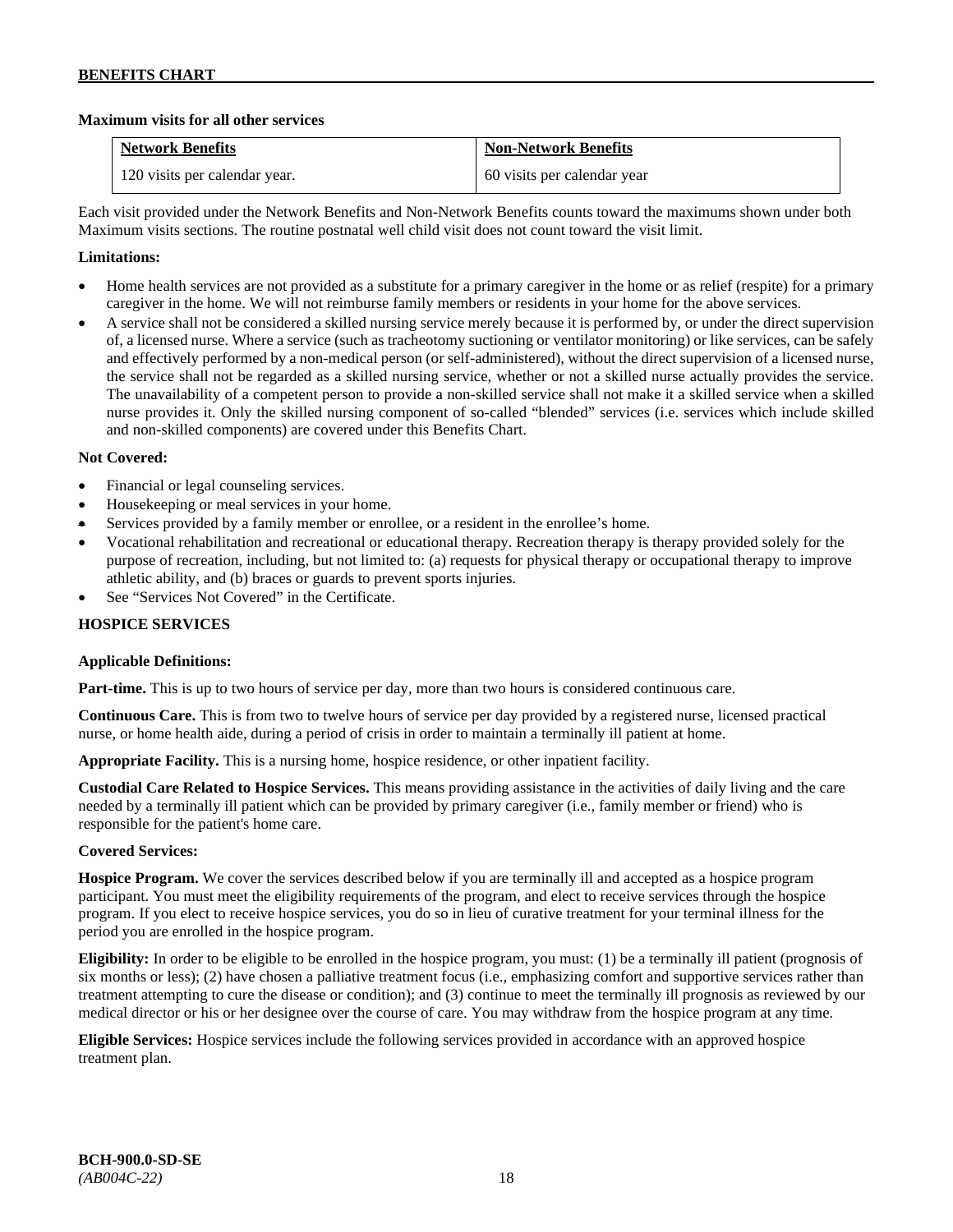### **Maximum visits for all other services**

| <b>Network Benefits</b>       | <b>Non-Network Benefits</b> |
|-------------------------------|-----------------------------|
| 120 visits per calendar year. | 60 visits per calendar year |

Each visit provided under the Network Benefits and Non-Network Benefits counts toward the maximums shown under both Maximum visits sections. The routine postnatal well child visit does not count toward the visit limit.

### **Limitations:**

- Home health services are not provided as a substitute for a primary caregiver in the home or as relief (respite) for a primary caregiver in the home. We will not reimburse family members or residents in your home for the above services.
- A service shall not be considered a skilled nursing service merely because it is performed by, or under the direct supervision of, a licensed nurse. Where a service (such as tracheotomy suctioning or ventilator monitoring) or like services, can be safely and effectively performed by a non-medical person (or self-administered), without the direct supervision of a licensed nurse, the service shall not be regarded as a skilled nursing service, whether or not a skilled nurse actually provides the service. The unavailability of a competent person to provide a non-skilled service shall not make it a skilled service when a skilled nurse provides it. Only the skilled nursing component of so-called "blended" services (i.e. services which include skilled and non-skilled components) are covered under this Benefits Chart.

### **Not Covered:**

- Financial or legal counseling services.
- Housekeeping or meal services in your home.
- Services provided by a family member or enrollee, or a resident in the enrollee's home.
- Vocational rehabilitation and recreational or educational therapy. Recreation therapy is therapy provided solely for the purpose of recreation, including, but not limited to: (a) requests for physical therapy or occupational therapy to improve athletic ability, and (b) braces or guards to prevent sports injuries.
- See "Services Not Covered" in the Certificate.

### **HOSPICE SERVICES**

### **Applicable Definitions:**

Part-time. This is up to two hours of service per day, more than two hours is considered continuous care.

**Continuous Care.** This is from two to twelve hours of service per day provided by a registered nurse, licensed practical nurse, or home health aide, during a period of crisis in order to maintain a terminally ill patient at home.

**Appropriate Facility.** This is a nursing home, hospice residence, or other inpatient facility.

**Custodial Care Related to Hospice Services.** This means providing assistance in the activities of daily living and the care needed by a terminally ill patient which can be provided by primary caregiver (i.e., family member or friend) who is responsible for the patient's home care.

### **Covered Services:**

**Hospice Program.** We cover the services described below if you are terminally ill and accepted as a hospice program participant. You must meet the eligibility requirements of the program, and elect to receive services through the hospice program. If you elect to receive hospice services, you do so in lieu of curative treatment for your terminal illness for the period you are enrolled in the hospice program.

**Eligibility:** In order to be eligible to be enrolled in the hospice program, you must: (1) be a terminally ill patient (prognosis of six months or less); (2) have chosen a palliative treatment focus (i.e., emphasizing comfort and supportive services rather than treatment attempting to cure the disease or condition); and (3) continue to meet the terminally ill prognosis as reviewed by our medical director or his or her designee over the course of care. You may withdraw from the hospice program at any time.

**Eligible Services:** Hospice services include the following services provided in accordance with an approved hospice treatment plan.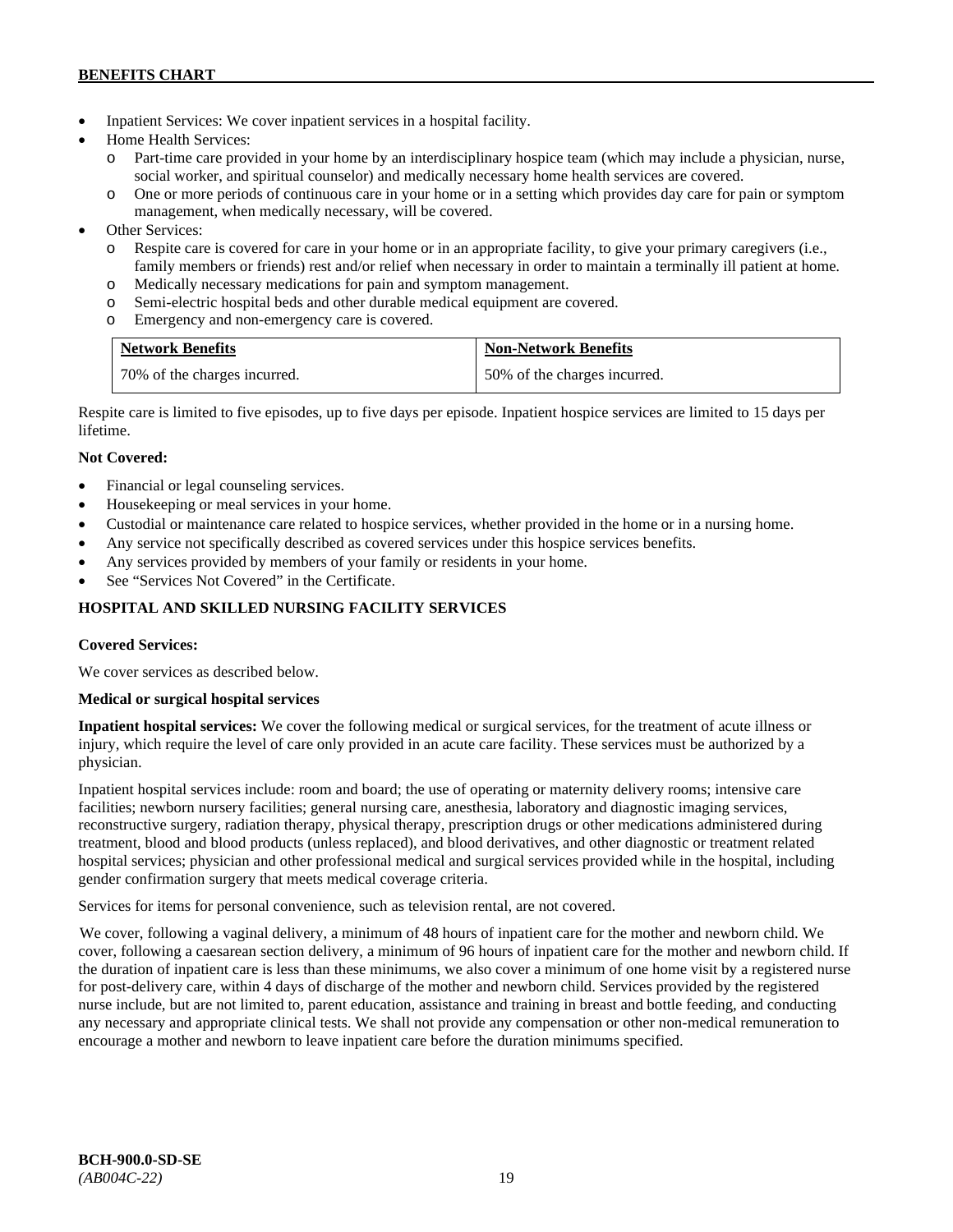- Inpatient Services: We cover inpatient services in a hospital facility.
- Home Health Services:
	- o Part-time care provided in your home by an interdisciplinary hospice team (which may include a physician, nurse, social worker, and spiritual counselor) and medically necessary home health services are covered.
	- o One or more periods of continuous care in your home or in a setting which provides day care for pain or symptom management, when medically necessary, will be covered.
- Other Services:
	- o Respite care is covered for care in your home or in an appropriate facility, to give your primary caregivers (i.e., family members or friends) rest and/or relief when necessary in order to maintain a terminally ill patient at home*.*
	- o Medically necessary medications for pain and symptom management.
	- o Semi-electric hospital beds and other durable medical equipment are covered.
	- o Emergency and non-emergency care is covered.

| <b>Network Benefits</b>      | <b>Non-Network Benefits</b>  |
|------------------------------|------------------------------|
| 70% of the charges incurred. | 50% of the charges incurred. |

Respite care is limited to five episodes, up to five days per episode. Inpatient hospice services are limited to 15 days per lifetime.

# **Not Covered:**

- Financial or legal counseling services.
- Housekeeping or meal services in your home.
- Custodial or maintenance care related to hospice services, whether provided in the home or in a nursing home.
- Any service not specifically described as covered services under this hospice services benefits.
- Any services provided by members of your family or residents in your home.
- See "Services Not Covered" in the Certificate.

# **HOSPITAL AND SKILLED NURSING FACILITY SERVICES**

### **Covered Services:**

We cover services as described below.

### **Medical or surgical hospital services**

**Inpatient hospital services:** We cover the following medical or surgical services, for the treatment of acute illness or injury, which require the level of care only provided in an acute care facility. These services must be authorized by a physician.

Inpatient hospital services include: room and board; the use of operating or maternity delivery rooms; intensive care facilities; newborn nursery facilities; general nursing care, anesthesia, laboratory and diagnostic imaging services, reconstructive surgery, radiation therapy, physical therapy, prescription drugs or other medications administered during treatment, blood and blood products (unless replaced), and blood derivatives, and other diagnostic or treatment related hospital services; physician and other professional medical and surgical services provided while in the hospital, including gender confirmation surgery that meets medical coverage criteria.

Services for items for personal convenience, such as television rental, are not covered.

We cover, following a vaginal delivery, a minimum of 48 hours of inpatient care for the mother and newborn child. We cover, following a caesarean section delivery, a minimum of 96 hours of inpatient care for the mother and newborn child. If the duration of inpatient care is less than these minimums, we also cover a minimum of one home visit by a registered nurse for post-delivery care, within 4 days of discharge of the mother and newborn child. Services provided by the registered nurse include, but are not limited to, parent education, assistance and training in breast and bottle feeding, and conducting any necessary and appropriate clinical tests. We shall not provide any compensation or other non-medical remuneration to encourage a mother and newborn to leave inpatient care before the duration minimums specified.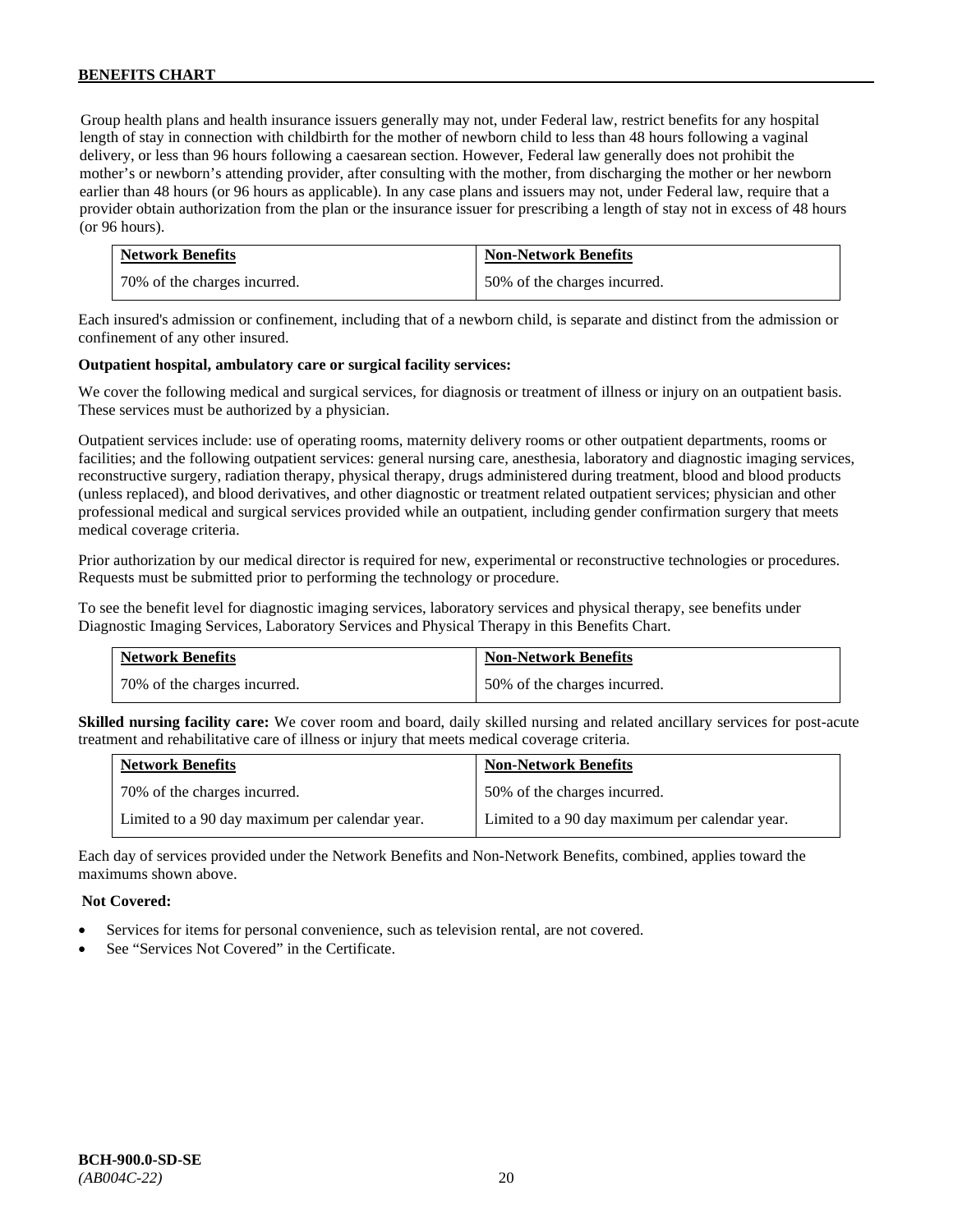Group health plans and health insurance issuers generally may not, under Federal law, restrict benefits for any hospital length of stay in connection with childbirth for the mother of newborn child to less than 48 hours following a vaginal delivery, or less than 96 hours following a caesarean section. However, Federal law generally does not prohibit the mother's or newborn's attending provider, after consulting with the mother, from discharging the mother or her newborn earlier than 48 hours (or 96 hours as applicable). In any case plans and issuers may not, under Federal law, require that a provider obtain authorization from the plan or the insurance issuer for prescribing a length of stay not in excess of 48 hours (or 96 hours).

| <b>Network Benefits</b>      | <b>Non-Network Benefits</b>  |
|------------------------------|------------------------------|
| 70% of the charges incurred. | 50% of the charges incurred. |

Each insured's admission or confinement, including that of a newborn child, is separate and distinct from the admission or confinement of any other insured.

#### **Outpatient hospital, ambulatory care or surgical facility services:**

We cover the following medical and surgical services, for diagnosis or treatment of illness or injury on an outpatient basis. These services must be authorized by a physician.

Outpatient services include: use of operating rooms, maternity delivery rooms or other outpatient departments, rooms or facilities; and the following outpatient services: general nursing care, anesthesia, laboratory and diagnostic imaging services, reconstructive surgery, radiation therapy, physical therapy, drugs administered during treatment, blood and blood products (unless replaced), and blood derivatives, and other diagnostic or treatment related outpatient services; physician and other professional medical and surgical services provided while an outpatient, including gender confirmation surgery that meets medical coverage criteria.

Prior authorization by our medical director is required for new, experimental or reconstructive technologies or procedures. Requests must be submitted prior to performing the technology or procedure.

To see the benefit level for diagnostic imaging services, laboratory services and physical therapy, see benefits under Diagnostic Imaging Services, Laboratory Services and Physical Therapy in this Benefits Chart.

| <b>Network Benefits</b>      | <b>Non-Network Benefits</b>  |
|------------------------------|------------------------------|
| 70% of the charges incurred. | 50% of the charges incurred. |

**Skilled nursing facility care:** We cover room and board, daily skilled nursing and related ancillary services for post-acute treatment and rehabilitative care of illness or injury that meets medical coverage criteria.

| <b>Network Benefits</b>                        | <b>Non-Network Benefits</b>                    |
|------------------------------------------------|------------------------------------------------|
| 70% of the charges incurred.                   | 50% of the charges incurred.                   |
| Limited to a 90 day maximum per calendar year. | Limited to a 90 day maximum per calendar year. |

Each day of services provided under the Network Benefits and Non-Network Benefits, combined, applies toward the maximums shown above.

#### **Not Covered:**

- Services for items for personal convenience, such as television rental, are not covered.
- See "Services Not Covered" in the Certificate.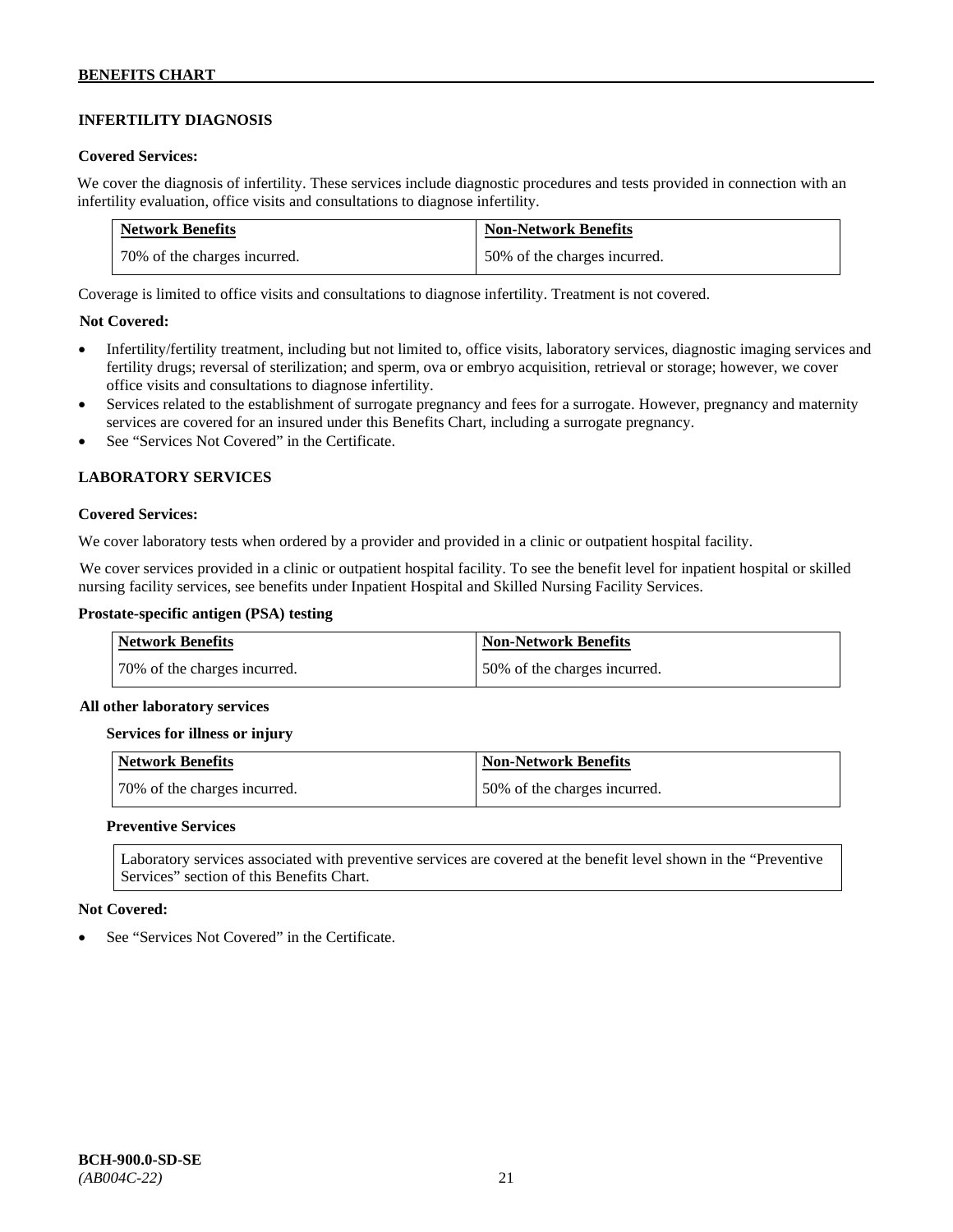# **INFERTILITY DIAGNOSIS**

#### **Covered Services:**

We cover the diagnosis of infertility. These services include diagnostic procedures and tests provided in connection with an infertility evaluation, office visits and consultations to diagnose infertility.

| <b>Network Benefits</b>      | <b>Non-Network Benefits</b>  |
|------------------------------|------------------------------|
| 70% of the charges incurred. | 50% of the charges incurred. |

Coverage is limited to office visits and consultations to diagnose infertility. Treatment is not covered.

### **Not Covered:**

- Infertility/fertility treatment, including but not limited to, office visits, laboratory services, diagnostic imaging services and fertility drugs; reversal of sterilization; and sperm, ova or embryo acquisition, retrieval or storage; however, we cover office visits and consultations to diagnose infertility.
- Services related to the establishment of surrogate pregnancy and fees for a surrogate. However, pregnancy and maternity services are covered for an insured under this Benefits Chart, including a surrogate pregnancy.
- See "Services Not Covered" in the Certificate.

### **LABORATORY SERVICES**

#### **Covered Services:**

We cover laboratory tests when ordered by a provider and provided in a clinic or outpatient hospital facility.

We cover services provided in a clinic or outpatient hospital facility. To see the benefit level for inpatient hospital or skilled nursing facility services, see benefits under Inpatient Hospital and Skilled Nursing Facility Services.

### **Prostate-specific antigen (PSA) testing**

| <b>Network Benefits</b>      | <b>Non-Network Benefits</b>  |
|------------------------------|------------------------------|
| 70% of the charges incurred. | 50% of the charges incurred. |

#### **All other laboratory services**

#### **Services for illness or injury**

| Network Benefits             | Non-Network Benefits         |
|------------------------------|------------------------------|
| 70% of the charges incurred. | 50% of the charges incurred. |

#### **Preventive Services**

Laboratory services associated with preventive services are covered at the benefit level shown in the "Preventive Services" section of this Benefits Chart.

#### **Not Covered:**

See "Services Not Covered" in the Certificate.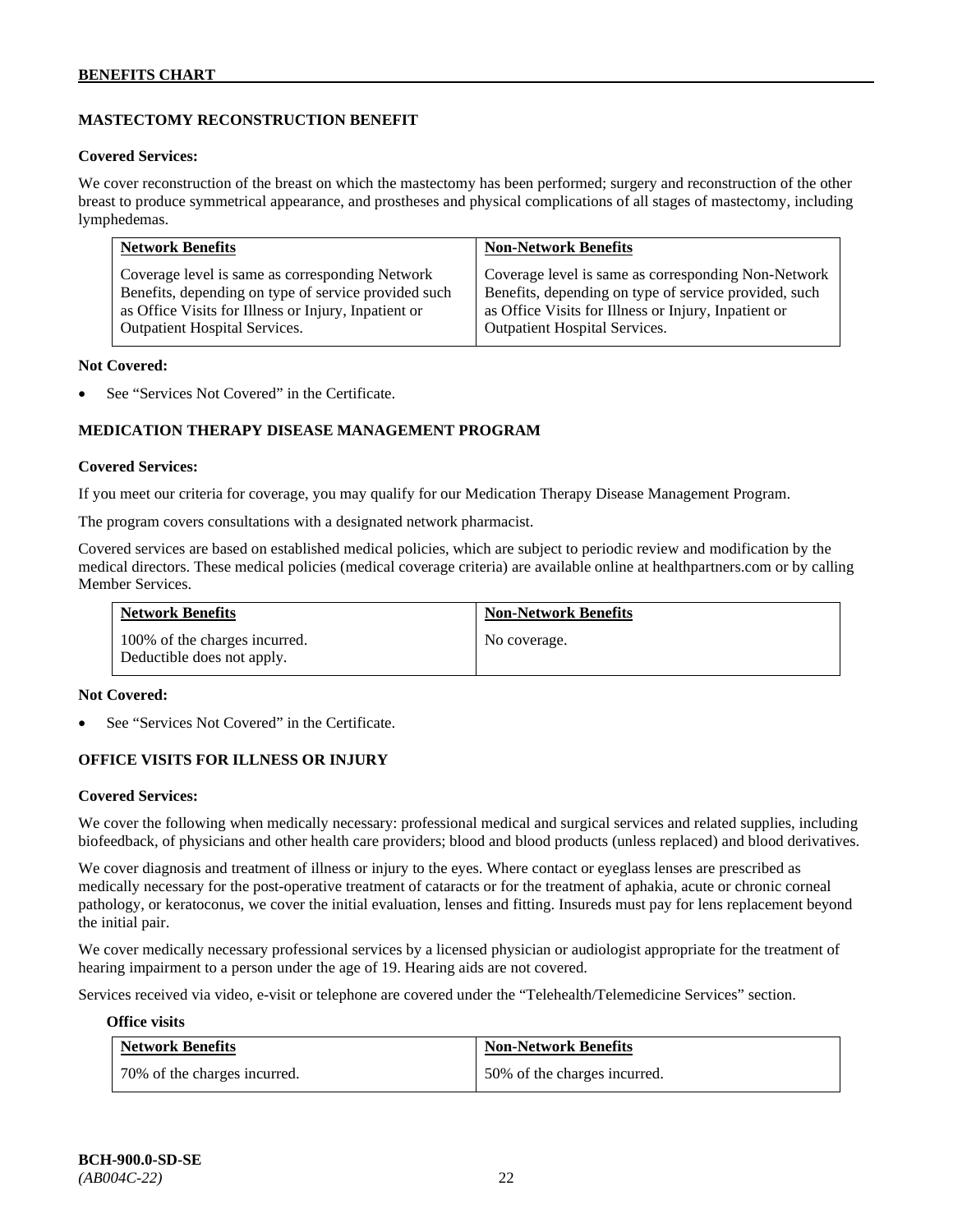# **MASTECTOMY RECONSTRUCTION BENEFIT**

#### **Covered Services:**

We cover reconstruction of the breast on which the mastectomy has been performed; surgery and reconstruction of the other breast to produce symmetrical appearance, and prostheses and physical complications of all stages of mastectomy, including lymphedemas.

| <b>Network Benefits</b>                              | <b>Non-Network Benefits</b>                           |
|------------------------------------------------------|-------------------------------------------------------|
| Coverage level is same as corresponding Network      | Coverage level is same as corresponding Non-Network   |
| Benefits, depending on type of service provided such | Benefits, depending on type of service provided, such |
| as Office Visits for Illness or Injury, Inpatient or | as Office Visits for Illness or Injury, Inpatient or  |
| <b>Outpatient Hospital Services.</b>                 | Outpatient Hospital Services.                         |

#### **Not Covered:**

See "Services Not Covered" in the Certificate.

### **MEDICATION THERAPY DISEASE MANAGEMENT PROGRAM**

#### **Covered Services:**

If you meet our criteria for coverage, you may qualify for our Medication Therapy Disease Management Program.

The program covers consultations with a designated network pharmacist.

Covered services are based on established medical policies, which are subject to periodic review and modification by the medical directors. These medical policies (medical coverage criteria) are available online at [healthpartners.com](http://www.healthpartners.com/) or by calling Member Services.

| <b>Network Benefits</b>                                     | <b>Non-Network Benefits</b> |
|-------------------------------------------------------------|-----------------------------|
| 100% of the charges incurred.<br>Deductible does not apply. | No coverage.                |

#### **Not Covered:**

See "Services Not Covered" in the Certificate.

### **OFFICE VISITS FOR ILLNESS OR INJURY**

#### **Covered Services:**

We cover the following when medically necessary: professional medical and surgical services and related supplies, including biofeedback, of physicians and other health care providers; blood and blood products (unless replaced) and blood derivatives.

We cover diagnosis and treatment of illness or injury to the eyes. Where contact or eyeglass lenses are prescribed as medically necessary for the post-operative treatment of cataracts or for the treatment of aphakia, acute or chronic corneal pathology, or keratoconus, we cover the initial evaluation, lenses and fitting. Insureds must pay for lens replacement beyond the initial pair.

We cover medically necessary professional services by a licensed physician or audiologist appropriate for the treatment of hearing impairment to a person under the age of 19. Hearing aids are not covered.

Services received via video, e-visit or telephone are covered under the "Telehealth/Telemedicine Services" section.

#### **Office visits**

| <b>Network Benefits</b>      | <b>Non-Network Benefits</b>  |
|------------------------------|------------------------------|
| 70% of the charges incurred. | 50% of the charges incurred. |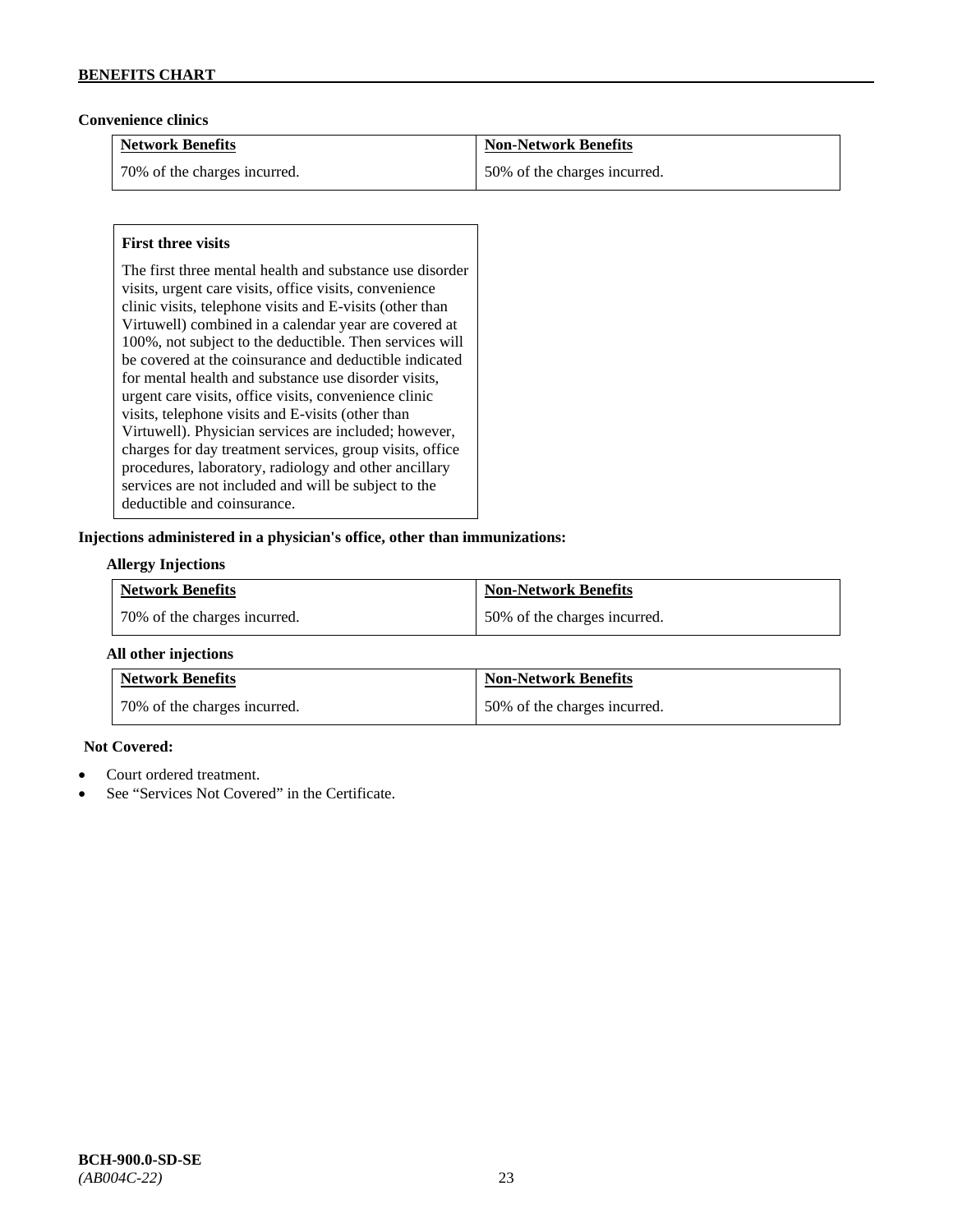### **Convenience clinics**

| <b>Network Benefits</b>      | <b>Non-Network Benefits</b>  |
|------------------------------|------------------------------|
| 70% of the charges incurred. | 50% of the charges incurred. |

### **First three visits**

The first three mental health and substance use disorder visits, urgent care visits, office visits, convenience clinic visits, telephone visits and E-visits (other than Virtuwell) combined in a calendar year are covered at 100%, not subject to the deductible. Then services will be covered at the coinsurance and deductible indicated for mental health and substance use disorder visits, urgent care visits, office visits, convenience clinic visits, telephone visits and E-visits (other than Virtuwell). Physician services are included; however, charges for day treatment services, group visits, office procedures, laboratory, radiology and other ancillary services are not included and will be subject to the deductible and coinsurance.

#### **Injections administered in a physician's office, other than immunizations:**

### **Allergy Injections**

| <b>Network Benefits</b>        | <b>Non-Network Benefits</b>  |
|--------------------------------|------------------------------|
| 1 70% of the charges incurred. | 50% of the charges incurred. |

#### **All other injections**

| <b>Network Benefits</b>      | <b>Non-Network Benefits</b>  |
|------------------------------|------------------------------|
| 70% of the charges incurred. | 50% of the charges incurred. |

### **Not Covered:**

- Court ordered treatment.
- See "Services Not Covered" in the Certificate.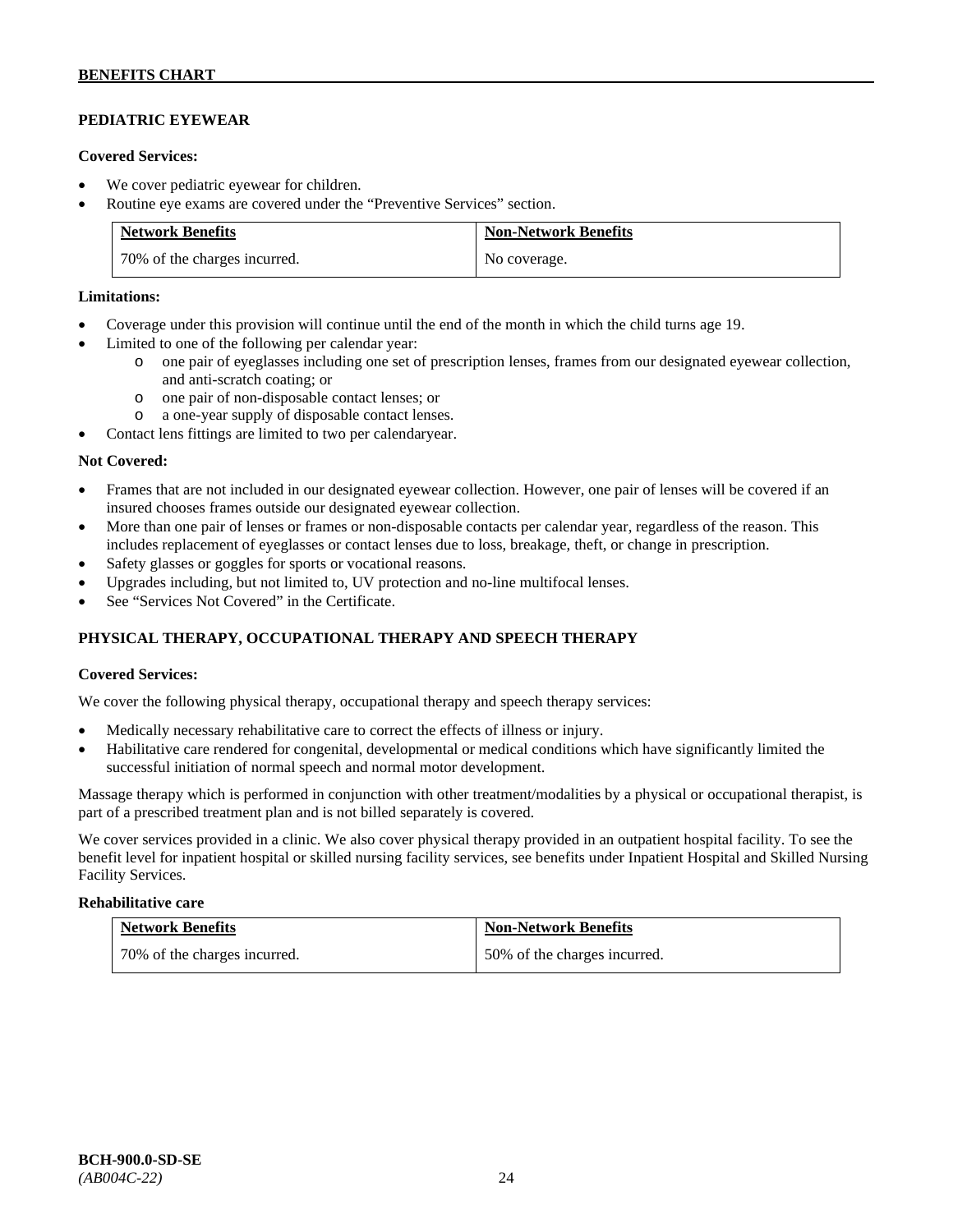# **PEDIATRIC EYEWEAR**

### **Covered Services:**

- We cover pediatric eyewear for children.
- Routine eye exams are covered under the "Preventive Services" section.

| <b>Network Benefits</b>      | <b>Non-Network Benefits</b> |
|------------------------------|-----------------------------|
| 70% of the charges incurred. | No coverage.                |

### **Limitations:**

- Coverage under this provision will continue until the end of the month in which the child turns age 19.
- Limited to one of the following per calendar year:
	- o one pair of eyeglasses including one set of prescription lenses, frames from our designated eyewear collection, and anti-scratch coating; or
	- o one pair of non-disposable contact lenses; or
	- o a one-year supply of disposable contact lenses.
- Contact lens fittings are limited to two per calendaryear.

#### **Not Covered:**

- Frames that are not included in our designated eyewear collection. However, one pair of lenses will be covered if an insured chooses frames outside our designated eyewear collection.
- More than one pair of lenses or frames or non-disposable contacts per calendar year, regardless of the reason. This includes replacement of eyeglasses or contact lenses due to loss, breakage, theft, or change in prescription.
- Safety glasses or goggles for sports or vocational reasons.
- Upgrades including, but not limited to, UV protection and no-line multifocal lenses.
- See "Services Not Covered" in the Certificate.

# **PHYSICAL THERAPY, OCCUPATIONAL THERAPY AND SPEECH THERAPY**

### **Covered Services:**

We cover the following physical therapy, occupational therapy and speech therapy services:

- Medically necessary rehabilitative care to correct the effects of illness or injury.
- Habilitative care rendered for congenital, developmental or medical conditions which have significantly limited the successful initiation of normal speech and normal motor development.

Massage therapy which is performed in conjunction with other treatment/modalities by a physical or occupational therapist, is part of a prescribed treatment plan and is not billed separately is covered.

We cover services provided in a clinic. We also cover physical therapy provided in an outpatient hospital facility. To see the benefit level for inpatient hospital or skilled nursing facility services, see benefits under Inpatient Hospital and Skilled Nursing Facility Services.

#### **Rehabilitative care**

| <b>Network Benefits</b>      | <b>Non-Network Benefits</b>  |
|------------------------------|------------------------------|
| 70% of the charges incurred. | 50% of the charges incurred. |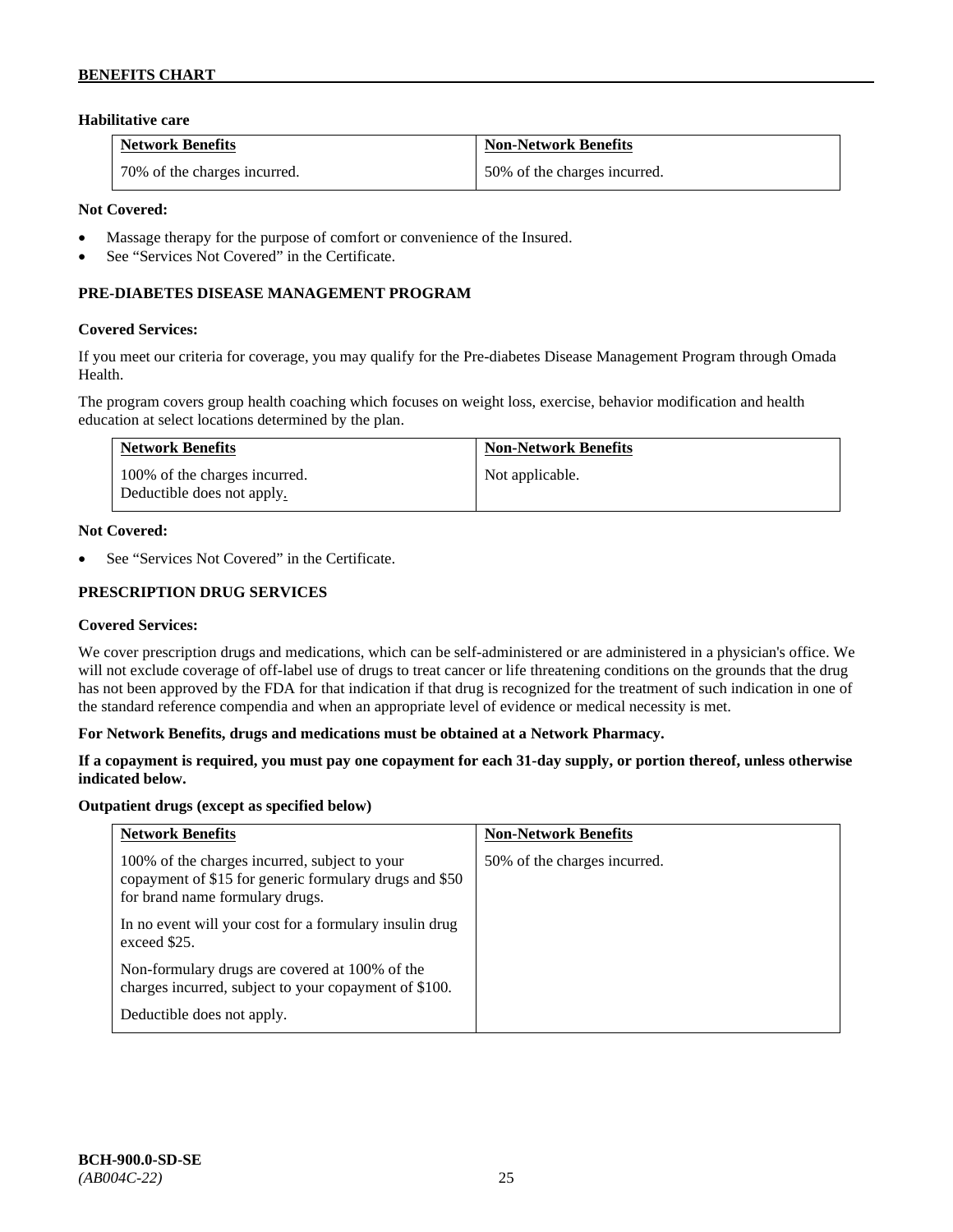### **Habilitative care**

| <b>Network Benefits</b>      | <b>Non-Network Benefits</b>  |
|------------------------------|------------------------------|
| 70% of the charges incurred. | 50% of the charges incurred. |

#### **Not Covered:**

- Massage therapy for the purpose of comfort or convenience of the Insured.
- See "Services Not Covered" in the Certificate.

### **PRE-DIABETES DISEASE MANAGEMENT PROGRAM**

#### **Covered Services:**

If you meet our criteria for coverage, you may qualify for the Pre-diabetes Disease Management Program through Omada Health.

The program covers group health coaching which focuses on weight loss, exercise, behavior modification and health education at select locations determined by the plan.

| <b>Network Benefits</b>                                     | <b>Non-Network Benefits</b> |
|-------------------------------------------------------------|-----------------------------|
| 100% of the charges incurred.<br>Deductible does not apply. | Not applicable.             |

### **Not Covered:**

See "Services Not Covered" in the Certificate.

### **PRESCRIPTION DRUG SERVICES**

#### **Covered Services:**

We cover prescription drugs and medications, which can be self-administered or are administered in a physician's office. We will not exclude coverage of off-label use of drugs to treat cancer or life threatening conditions on the grounds that the drug has not been approved by the FDA for that indication if that drug is recognized for the treatment of such indication in one of the standard reference compendia and when an appropriate level of evidence or medical necessity is met.

#### **For Network Benefits, drugs and medications must be obtained at a Network Pharmacy.**

### **If a copayment is required, you must pay one copayment for each 31-day supply, or portion thereof, unless otherwise indicated below.**

#### **Outpatient drugs (except as specified below)**

| <b>Network Benefits</b>                                                                                                                    | <b>Non-Network Benefits</b>  |
|--------------------------------------------------------------------------------------------------------------------------------------------|------------------------------|
| 100% of the charges incurred, subject to your<br>copayment of \$15 for generic formulary drugs and \$50<br>for brand name formulary drugs. | 50% of the charges incurred. |
| In no event will your cost for a formulary insulin drug<br>exceed \$25.                                                                    |                              |
| Non-formulary drugs are covered at 100% of the<br>charges incurred, subject to your copayment of \$100.                                    |                              |
| Deductible does not apply.                                                                                                                 |                              |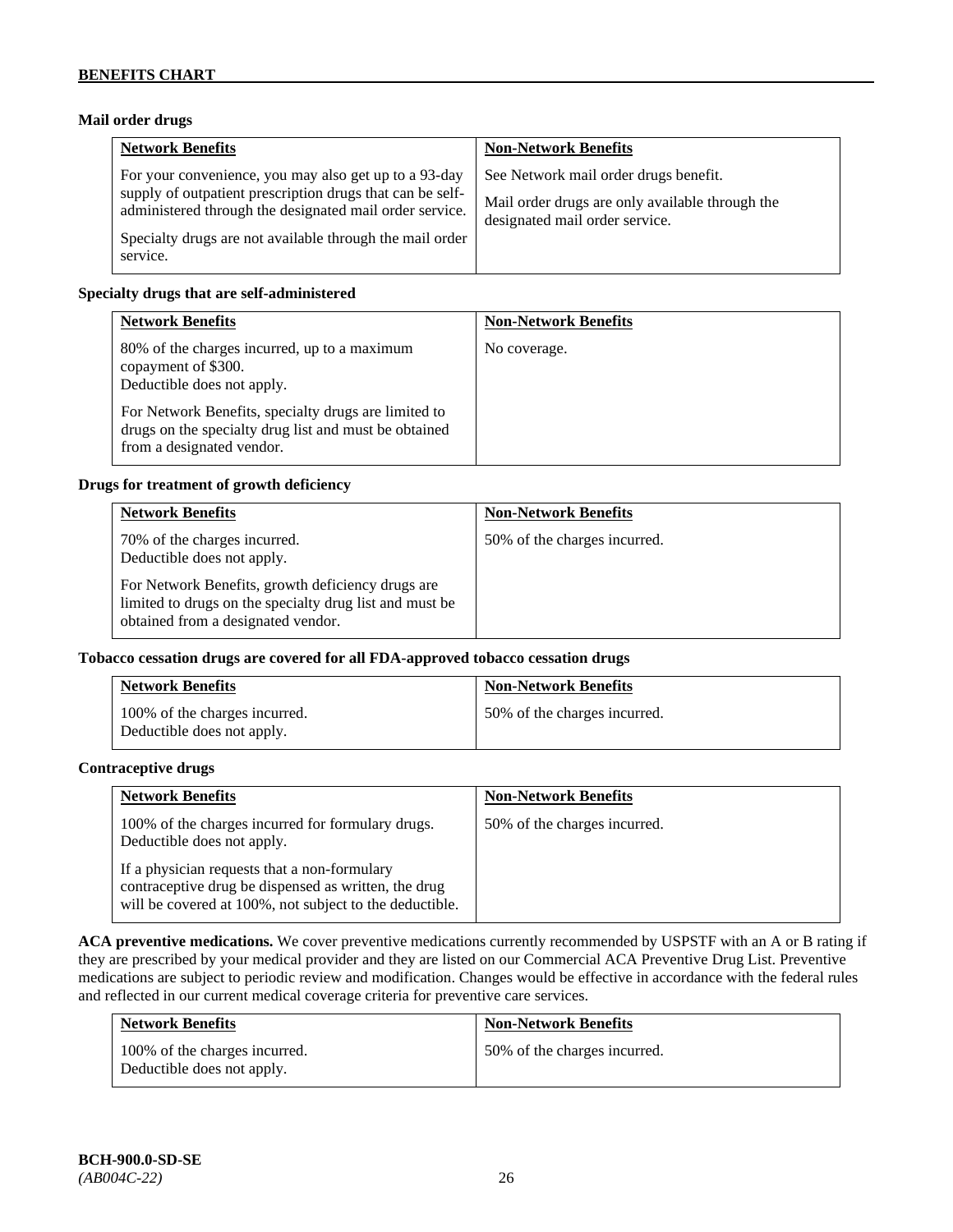### **Mail order drugs**

| <b>Network Benefits</b>                                                                                                                                                                                                                               | <b>Non-Network Benefits</b>                                                                                                |
|-------------------------------------------------------------------------------------------------------------------------------------------------------------------------------------------------------------------------------------------------------|----------------------------------------------------------------------------------------------------------------------------|
| For your convenience, you may also get up to a 93-day<br>supply of outpatient prescription drugs that can be self-<br>administered through the designated mail order service.<br>Specialty drugs are not available through the mail order<br>service. | See Network mail order drugs benefit.<br>Mail order drugs are only available through the<br>designated mail order service. |

### **Specialty drugs that are self-administered**

| <b>Network Benefits</b>                                                                                                                                                                                                                         | <b>Non-Network Benefits</b> |
|-------------------------------------------------------------------------------------------------------------------------------------------------------------------------------------------------------------------------------------------------|-----------------------------|
| 80% of the charges incurred, up to a maximum<br>copayment of \$300.<br>Deductible does not apply.<br>For Network Benefits, specialty drugs are limited to<br>drugs on the specialty drug list and must be obtained<br>from a designated vendor. | No coverage.                |

#### **Drugs for treatment of growth deficiency**

| <b>Network Benefits</b>                                                                                                                            | <b>Non-Network Benefits</b>  |
|----------------------------------------------------------------------------------------------------------------------------------------------------|------------------------------|
| 70% of the charges incurred.<br>Deductible does not apply.                                                                                         | 50% of the charges incurred. |
| For Network Benefits, growth deficiency drugs are<br>limited to drugs on the specialty drug list and must be<br>obtained from a designated vendor. |                              |

### **Tobacco cessation drugs are covered for all FDA-approved tobacco cessation drugs**

| <b>Network Benefits</b>                                     | <b>Non-Network Benefits</b>  |
|-------------------------------------------------------------|------------------------------|
| 100% of the charges incurred.<br>Deductible does not apply. | 50% of the charges incurred. |

### **Contraceptive drugs**

| <b>Network Benefits</b>                                                                                                                                         | <b>Non-Network Benefits</b>  |
|-----------------------------------------------------------------------------------------------------------------------------------------------------------------|------------------------------|
| 100% of the charges incurred for formulary drugs.<br>Deductible does not apply.                                                                                 | 50% of the charges incurred. |
| If a physician requests that a non-formulary<br>contraceptive drug be dispensed as written, the drug<br>will be covered at 100%, not subject to the deductible. |                              |

**ACA preventive medications.** We cover preventive medications currently recommended by USPSTF with an A or B rating if they are prescribed by your medical provider and they are listed on our Commercial ACA Preventive Drug List. Preventive medications are subject to periodic review and modification. Changes would be effective in accordance with the federal rules and reflected in our current medical coverage criteria for preventive care services.

| <b>Network Benefits</b>                                     | <b>Non-Network Benefits</b>  |
|-------------------------------------------------------------|------------------------------|
| 100% of the charges incurred.<br>Deductible does not apply. | 50% of the charges incurred. |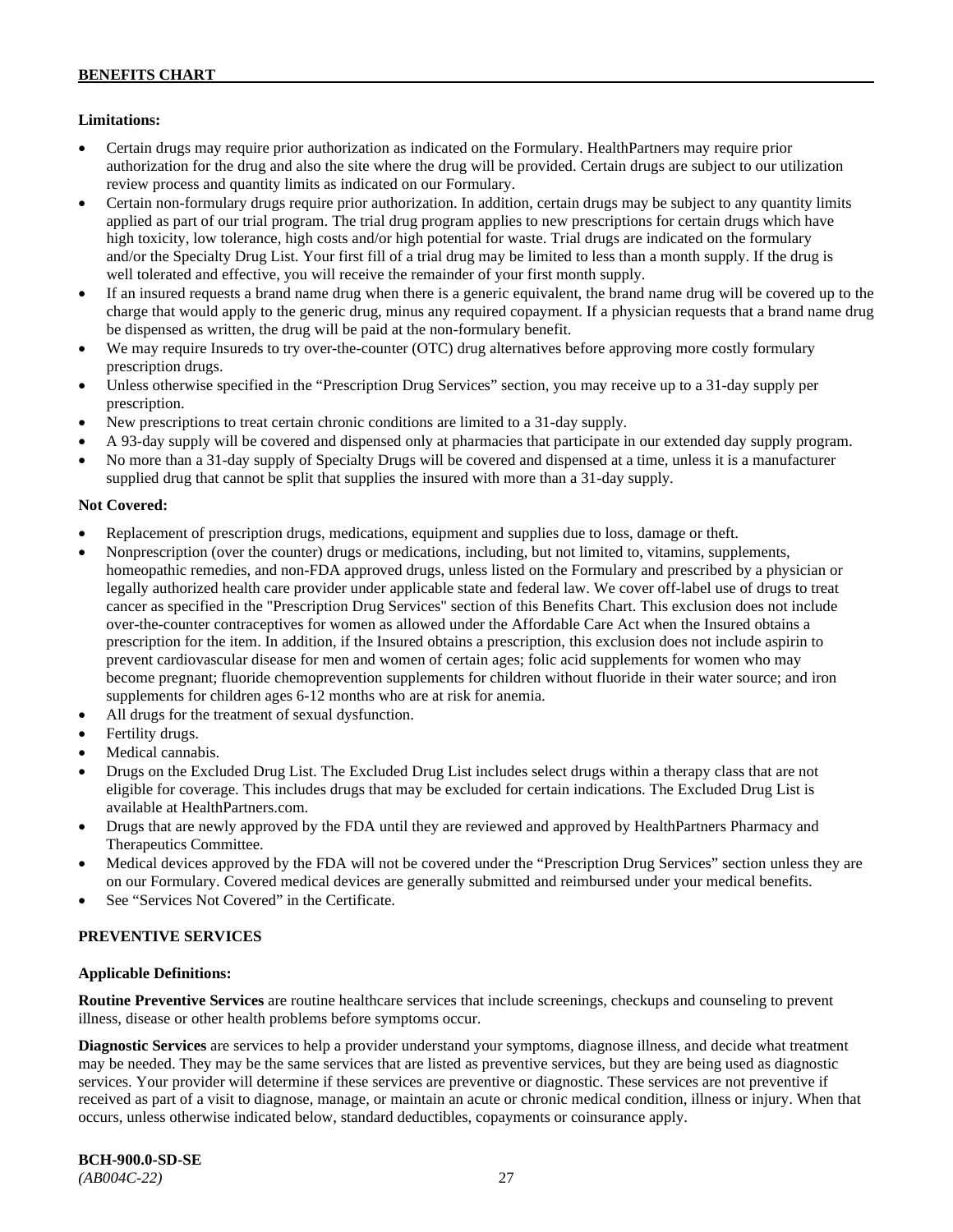### **Limitations:**

- Certain drugs may require prior authorization as indicated on the Formulary. HealthPartners may require prior authorization for the drug and also the site where the drug will be provided. Certain drugs are subject to our utilization review process and quantity limits as indicated on our Formulary.
- Certain non-formulary drugs require prior authorization. In addition, certain drugs may be subject to any quantity limits applied as part of our trial program. The trial drug program applies to new prescriptions for certain drugs which have high toxicity, low tolerance, high costs and/or high potential for waste. Trial drugs are indicated on the formulary and/or the Specialty Drug List. Your first fill of a trial drug may be limited to less than a month supply. If the drug is well tolerated and effective, you will receive the remainder of your first month supply.
- If an insured requests a brand name drug when there is a generic equivalent, the brand name drug will be covered up to the charge that would apply to the generic drug, minus any required copayment. If a physician requests that a brand name drug be dispensed as written, the drug will be paid at the non-formulary benefit.
- We may require Insureds to try over-the-counter (OTC) drug alternatives before approving more costly formulary prescription drugs.
- Unless otherwise specified in the "Prescription Drug Services" section, you may receive up to a 31-day supply per prescription.
- New prescriptions to treat certain chronic conditions are limited to a 31-day supply.
- A 93-day supply will be covered and dispensed only at pharmacies that participate in our extended day supply program.
- No more than a 31-day supply of Specialty Drugs will be covered and dispensed at a time, unless it is a manufacturer supplied drug that cannot be split that supplies the insured with more than a 31-day supply.

### **Not Covered:**

- Replacement of prescription drugs, medications, equipment and supplies due to loss, damage or theft.
- Nonprescription (over the counter) drugs or medications, including, but not limited to, vitamins, supplements, homeopathic remedies, and non-FDA approved drugs, unless listed on the Formulary and prescribed by a physician or legally authorized health care provider under applicable state and federal law. We cover off-label use of drugs to treat cancer as specified in the "Prescription Drug Services" section of this Benefits Chart. This exclusion does not include over-the-counter contraceptives for women as allowed under the Affordable Care Act when the Insured obtains a prescription for the item. In addition, if the Insured obtains a prescription, this exclusion does not include aspirin to prevent cardiovascular disease for men and women of certain ages; folic acid supplements for women who may become pregnant; fluoride chemoprevention supplements for children without fluoride in their water source; and iron supplements for children ages 6-12 months who are at risk for anemia.
- All drugs for the treatment of sexual dysfunction.
- Fertility drugs.
- Medical cannabis.
- Drugs on the Excluded Drug List. The Excluded Drug List includes select drugs within a therapy class that are not eligible for coverage. This includes drugs that may be excluded for certain indications. The Excluded Drug List is available a[t HealthPartners.com.](http://www.healthpartners.com/)
- Drugs that are newly approved by the FDA until they are reviewed and approved by HealthPartners Pharmacy and Therapeutics Committee.
- Medical devices approved by the FDA will not be covered under the "Prescription Drug Services" section unless they are on our Formulary. Covered medical devices are generally submitted and reimbursed under your medical benefits.
- See "Services Not Covered" in the Certificate.

### **PREVENTIVE SERVICES**

### **Applicable Definitions:**

**Routine Preventive Services** are routine healthcare services that include screenings, checkups and counseling to prevent illness, disease or other health problems before symptoms occur.

**Diagnostic Services** are services to help a provider understand your symptoms, diagnose illness, and decide what treatment may be needed. They may be the same services that are listed as preventive services, but they are being used as diagnostic services. Your provider will determine if these services are preventive or diagnostic. These services are not preventive if received as part of a visit to diagnose, manage, or maintain an acute or chronic medical condition, illness or injury. When that occurs, unless otherwise indicated below, standard deductibles, copayments or coinsurance apply.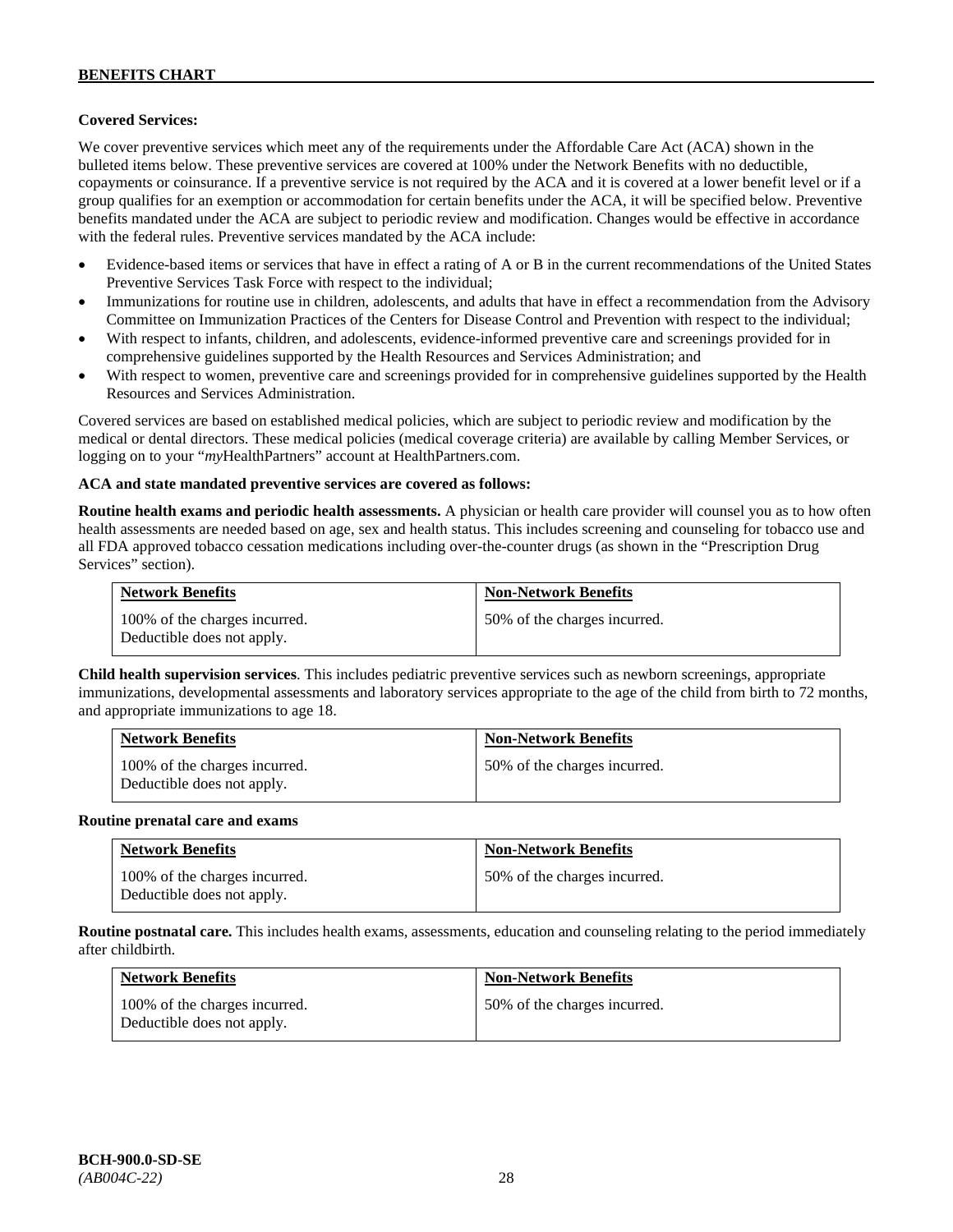### **Covered Services:**

We cover preventive services which meet any of the requirements under the Affordable Care Act (ACA) shown in the bulleted items below. These preventive services are covered at 100% under the Network Benefits with no deductible, copayments or coinsurance. If a preventive service is not required by the ACA and it is covered at a lower benefit level or if a group qualifies for an exemption or accommodation for certain benefits under the ACA, it will be specified below. Preventive benefits mandated under the ACA are subject to periodic review and modification. Changes would be effective in accordance with the federal rules. Preventive services mandated by the ACA include:

- Evidence-based items or services that have in effect a rating of A or B in the current recommendations of the United States Preventive Services Task Force with respect to the individual;
- Immunizations for routine use in children, adolescents, and adults that have in effect a recommendation from the Advisory Committee on Immunization Practices of the Centers for Disease Control and Prevention with respect to the individual;
- With respect to infants, children, and adolescents, evidence-informed preventive care and screenings provided for in comprehensive guidelines supported by the Health Resources and Services Administration; and
- With respect to women, preventive care and screenings provided for in comprehensive guidelines supported by the Health Resources and Services Administration.

Covered services are based on established medical policies, which are subject to periodic review and modification by the medical or dental directors. These medical policies (medical coverage criteria) are available by calling Member Services, or logging on to your "*my*HealthPartners" account at [HealthPartners.com.](http://www.healthpartners.com/)

#### **ACA and state mandated preventive services are covered as follows:**

**Routine health exams and periodic health assessments.** A physician or health care provider will counsel you as to how often health assessments are needed based on age, sex and health status. This includes screening and counseling for tobacco use and all FDA approved tobacco cessation medications including over-the-counter drugs (as shown in the "Prescription Drug Services" section).

| <b>Network Benefits</b>                                     | <b>Non-Network Benefits</b>  |
|-------------------------------------------------------------|------------------------------|
| 100% of the charges incurred.<br>Deductible does not apply. | 50% of the charges incurred. |

**Child health supervision services**. This includes pediatric preventive services such as newborn screenings, appropriate immunizations, developmental assessments and laboratory services appropriate to the age of the child from birth to 72 months, and appropriate immunizations to age 18.

| <b>Network Benefits</b>                                     | <b>Non-Network Benefits</b>  |
|-------------------------------------------------------------|------------------------------|
| 100% of the charges incurred.<br>Deductible does not apply. | 50% of the charges incurred. |

#### **Routine prenatal care and exams**

| <b>Network Benefits</b>                                     | <b>Non-Network Benefits</b>  |
|-------------------------------------------------------------|------------------------------|
| 100% of the charges incurred.<br>Deductible does not apply. | 50% of the charges incurred. |

**Routine postnatal care.** This includes health exams, assessments, education and counseling relating to the period immediately after childbirth.

| <b>Network Benefits</b>                                     | <b>Non-Network Benefits</b>  |
|-------------------------------------------------------------|------------------------------|
| 100% of the charges incurred.<br>Deductible does not apply. | 50% of the charges incurred. |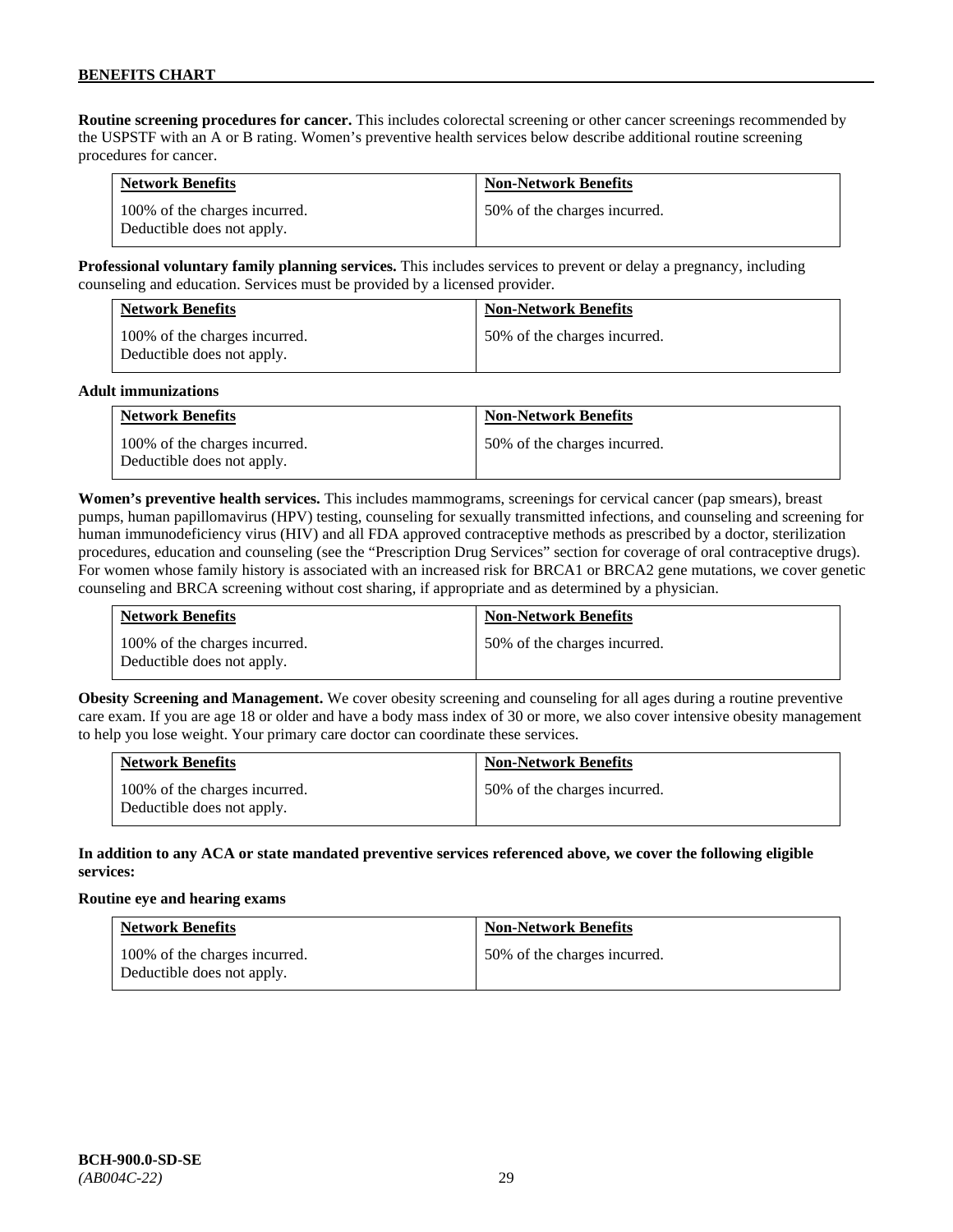**Routine screening procedures for cancer.** This includes colorectal screening or other cancer screenings recommended by the USPSTF with an A or B rating. Women's preventive health services below describe additional routine screening procedures for cancer.

| <b>Network Benefits</b>                                     | <b>Non-Network Benefits</b>  |
|-------------------------------------------------------------|------------------------------|
| 100% of the charges incurred.<br>Deductible does not apply. | 50% of the charges incurred. |

**Professional voluntary family planning services.** This includes services to prevent or delay a pregnancy, including counseling and education. Services must be provided by a licensed provider.

| <b>Network Benefits</b>                                     | <b>Non-Network Benefits</b>  |
|-------------------------------------------------------------|------------------------------|
| 100% of the charges incurred.<br>Deductible does not apply. | 50% of the charges incurred. |

#### **Adult immunizations**

| <b>Network Benefits</b>                                     | <b>Non-Network Benefits</b>  |
|-------------------------------------------------------------|------------------------------|
| 100% of the charges incurred.<br>Deductible does not apply. | 50% of the charges incurred. |

**Women's preventive health services.** This includes mammograms, screenings for cervical cancer (pap smears), breast pumps, human papillomavirus (HPV) testing, counseling for sexually transmitted infections, and counseling and screening for human immunodeficiency virus (HIV) and all FDA approved contraceptive methods as prescribed by a doctor, sterilization procedures, education and counseling (see the "Prescription Drug Services" section for coverage of oral contraceptive drugs). For women whose family history is associated with an increased risk for BRCA1 or BRCA2 gene mutations, we cover genetic counseling and BRCA screening without cost sharing, if appropriate and as determined by a physician.

| <b>Network Benefits</b>                                     | <b>Non-Network Benefits</b>  |
|-------------------------------------------------------------|------------------------------|
| 100% of the charges incurred.<br>Deductible does not apply. | 50% of the charges incurred. |

**Obesity Screening and Management.** We cover obesity screening and counseling for all ages during a routine preventive care exam. If you are age 18 or older and have a body mass index of 30 or more, we also cover intensive obesity management to help you lose weight. Your primary care doctor can coordinate these services.

| <b>Network Benefits</b>                                     | <b>Non-Network Benefits</b>  |
|-------------------------------------------------------------|------------------------------|
| 100% of the charges incurred.<br>Deductible does not apply. | 50% of the charges incurred. |

#### **In addition to any ACA or state mandated preventive services referenced above, we cover the following eligible services:**

#### **Routine eye and hearing exams**

| <b>Network Benefits</b>                                     | <b>Non-Network Benefits</b>  |
|-------------------------------------------------------------|------------------------------|
| 100% of the charges incurred.<br>Deductible does not apply. | 50% of the charges incurred. |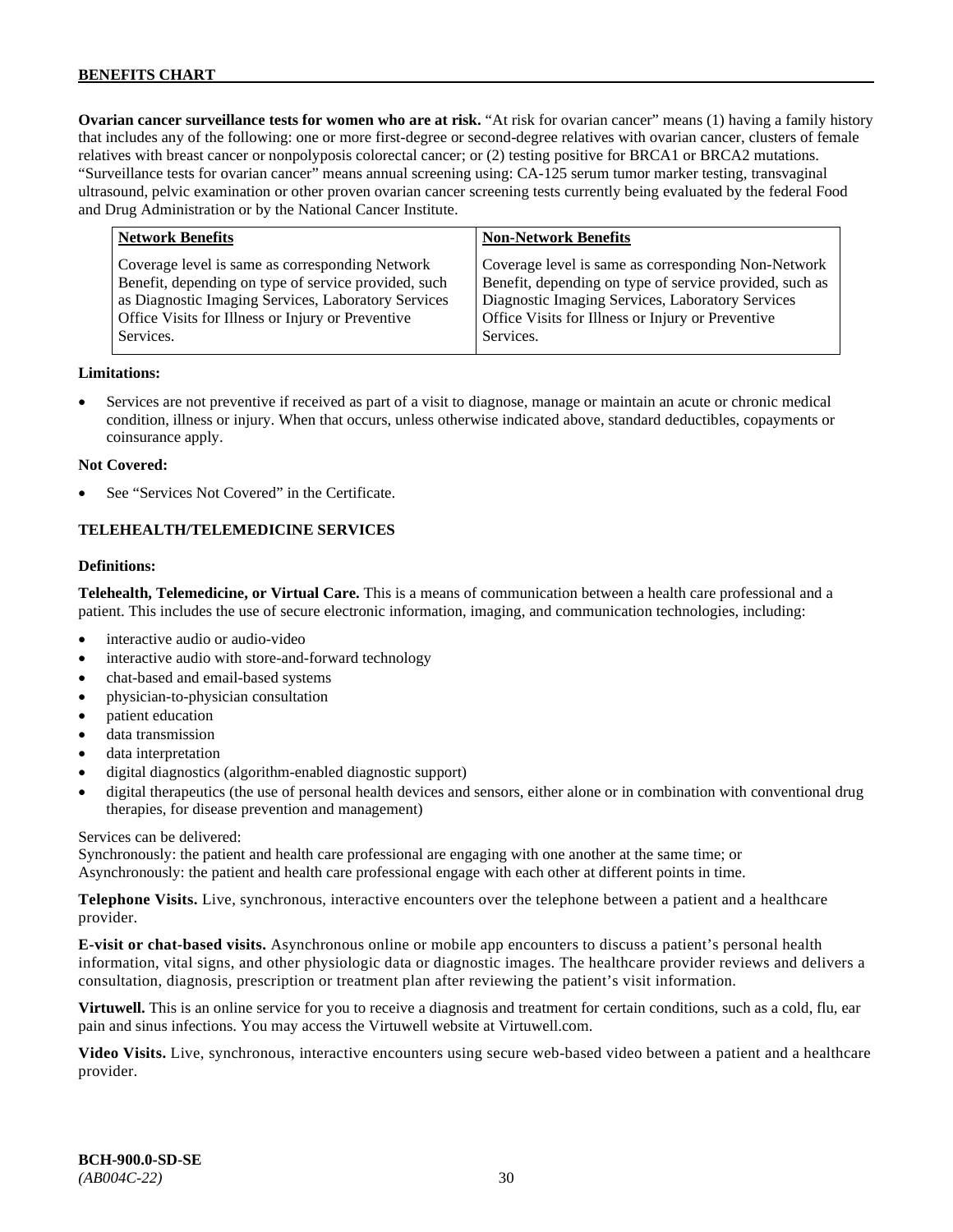**Ovarian cancer surveillance tests for women who are at risk.** "At risk for ovarian cancer" means (1) having a family history that includes any of the following: one or more first-degree or second-degree relatives with ovarian cancer, clusters of female relatives with breast cancer or nonpolyposis colorectal cancer; or (2) testing positive for BRCA1 or BRCA2 mutations. "Surveillance tests for ovarian cancer" means annual screening using: CA-125 serum tumor marker testing, transvaginal ultrasound, pelvic examination or other proven ovarian cancer screening tests currently being evaluated by the federal Food and Drug Administration or by the National Cancer Institute.

| <b>Network Benefits</b>                                                                                                                                                                                                          | <b>Non-Network Benefits</b>                                                                                                                                                                                                          |
|----------------------------------------------------------------------------------------------------------------------------------------------------------------------------------------------------------------------------------|--------------------------------------------------------------------------------------------------------------------------------------------------------------------------------------------------------------------------------------|
| Coverage level is same as corresponding Network<br>Benefit, depending on type of service provided, such<br>as Diagnostic Imaging Services, Laboratory Services<br>Office Visits for Illness or Injury or Preventive<br>Services. | Coverage level is same as corresponding Non-Network<br>Benefit, depending on type of service provided, such as<br>Diagnostic Imaging Services, Laboratory Services<br>Office Visits for Illness or Injury or Preventive<br>Services. |
|                                                                                                                                                                                                                                  |                                                                                                                                                                                                                                      |

#### **Limitations:**

• Services are not preventive if received as part of a visit to diagnose, manage or maintain an acute or chronic medical condition, illness or injury. When that occurs, unless otherwise indicated above, standard deductibles, copayments or coinsurance apply.

#### **Not Covered:**

See "Services Not Covered" in the Certificate.

#### **TELEHEALTH/TELEMEDICINE SERVICES**

#### **Definitions:**

**Telehealth, Telemedicine, or Virtual Care.** This is a means of communication between a health care professional and a patient. This includes the use of secure electronic information, imaging, and communication technologies, including:

- interactive audio or audio-video
- interactive audio with store-and-forward technology
- chat-based and email-based systems
- physician-to-physician consultation
- patient education
- data transmission
- data interpretation
- digital diagnostics (algorithm-enabled diagnostic support)
- digital therapeutics (the use of personal health devices and sensors, either alone or in combination with conventional drug therapies, for disease prevention and management)

#### Services can be delivered:

Synchronously: the patient and health care professional are engaging with one another at the same time; or Asynchronously: the patient and health care professional engage with each other at different points in time.

**Telephone Visits.** Live, synchronous, interactive encounters over the telephone between a patient and a healthcare provider.

**E-visit or chat-based visits.** Asynchronous online or mobile app encounters to discuss a patient's personal health information, vital signs, and other physiologic data or diagnostic images. The healthcare provider reviews and delivers a consultation, diagnosis, prescription or treatment plan after reviewing the patient's visit information.

**Virtuwell.** This is an online service for you to receive a diagnosis and treatment for certain conditions, such as a cold, flu, ear pain and sinus infections. You may access the Virtuwell website at [Virtuwell.com.](https://www.virtuwell.com/)

**Video Visits.** Live, synchronous, interactive encounters using secure web-based video between a patient and a healthcare provider.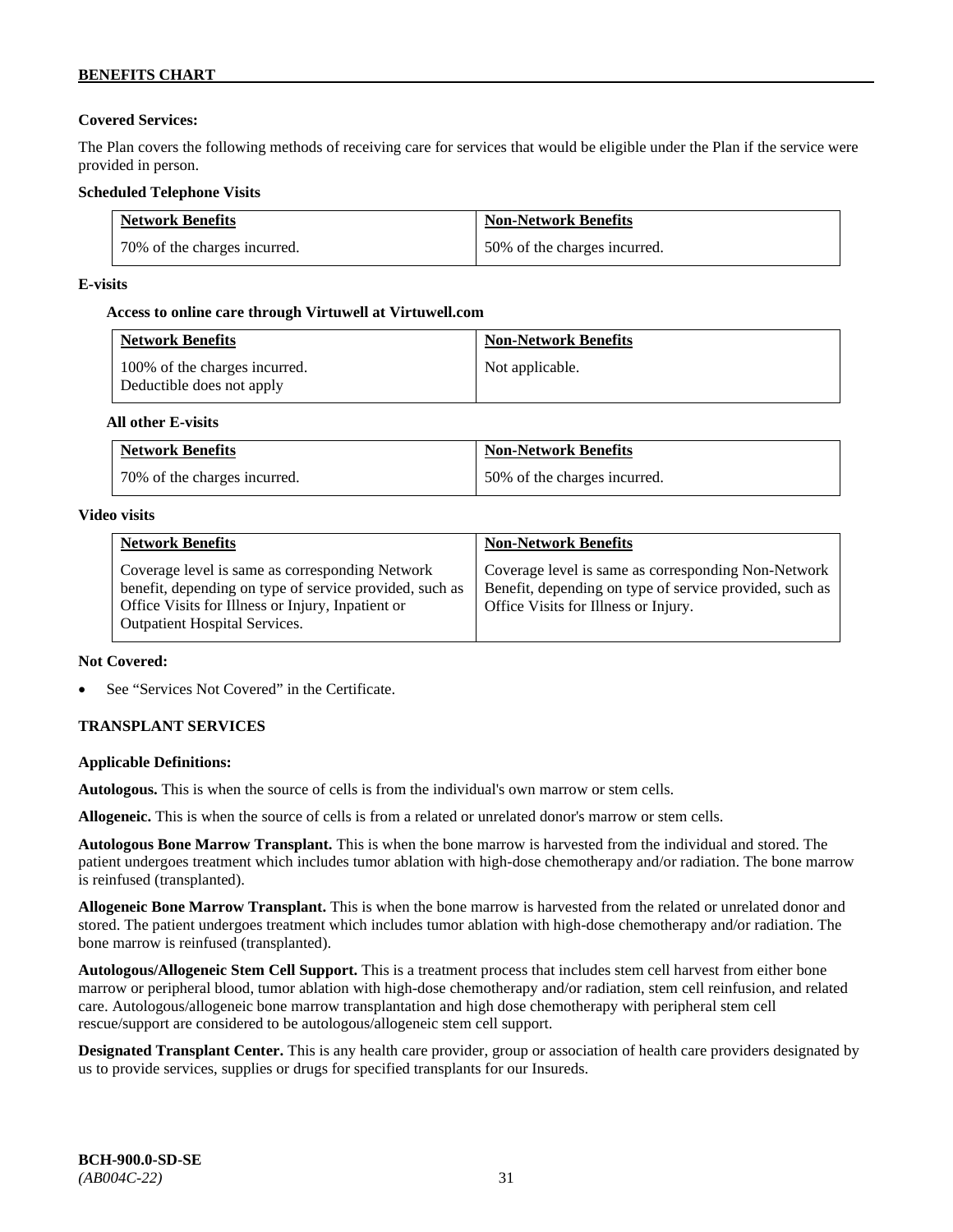# **Covered Services:**

The Plan covers the following methods of receiving care for services that would be eligible under the Plan if the service were provided in person.

### **Scheduled Telephone Visits**

| <b>Network Benefits</b>      | <b>Non-Network Benefits</b>  |
|------------------------------|------------------------------|
| 70% of the charges incurred. | 50% of the charges incurred. |

### **E-visits**

### **Access to online care through Virtuwell at [Virtuwell.com](http://www.virtuwell.com/)**

| <b>Network Benefits</b>                                    | <b>Non-Network Benefits</b> |
|------------------------------------------------------------|-----------------------------|
| 100% of the charges incurred.<br>Deductible does not apply | Not applicable.             |

### **All other E-visits**

| <b>Network Benefits</b>      | <b>Non-Network Benefits</b>  |
|------------------------------|------------------------------|
| 70% of the charges incurred. | 50% of the charges incurred. |

#### **Video visits**

| <b>Network Benefits</b>                                                                                                                                                                          | <b>Non-Network Benefits</b>                                                                                                                            |
|--------------------------------------------------------------------------------------------------------------------------------------------------------------------------------------------------|--------------------------------------------------------------------------------------------------------------------------------------------------------|
| Coverage level is same as corresponding Network<br>benefit, depending on type of service provided, such as<br>Office Visits for Illness or Injury, Inpatient or<br>Outpatient Hospital Services. | Coverage level is same as corresponding Non-Network<br>Benefit, depending on type of service provided, such as<br>Office Visits for Illness or Injury. |

### **Not Covered:**

See "Services Not Covered" in the Certificate.

# **TRANSPLANT SERVICES**

### **Applicable Definitions:**

**Autologous.** This is when the source of cells is from the individual's own marrow or stem cells.

**Allogeneic.** This is when the source of cells is from a related or unrelated donor's marrow or stem cells.

**Autologous Bone Marrow Transplant.** This is when the bone marrow is harvested from the individual and stored. The patient undergoes treatment which includes tumor ablation with high-dose chemotherapy and/or radiation. The bone marrow is reinfused (transplanted).

**Allogeneic Bone Marrow Transplant.** This is when the bone marrow is harvested from the related or unrelated donor and stored. The patient undergoes treatment which includes tumor ablation with high-dose chemotherapy and/or radiation. The bone marrow is reinfused (transplanted).

**Autologous/Allogeneic Stem Cell Support.** This is a treatment process that includes stem cell harvest from either bone marrow or peripheral blood, tumor ablation with high-dose chemotherapy and/or radiation, stem cell reinfusion, and related care. Autologous/allogeneic bone marrow transplantation and high dose chemotherapy with peripheral stem cell rescue/support are considered to be autologous/allogeneic stem cell support.

**Designated Transplant Center.** This is any health care provider, group or association of health care providers designated by us to provide services, supplies or drugs for specified transplants for our Insureds.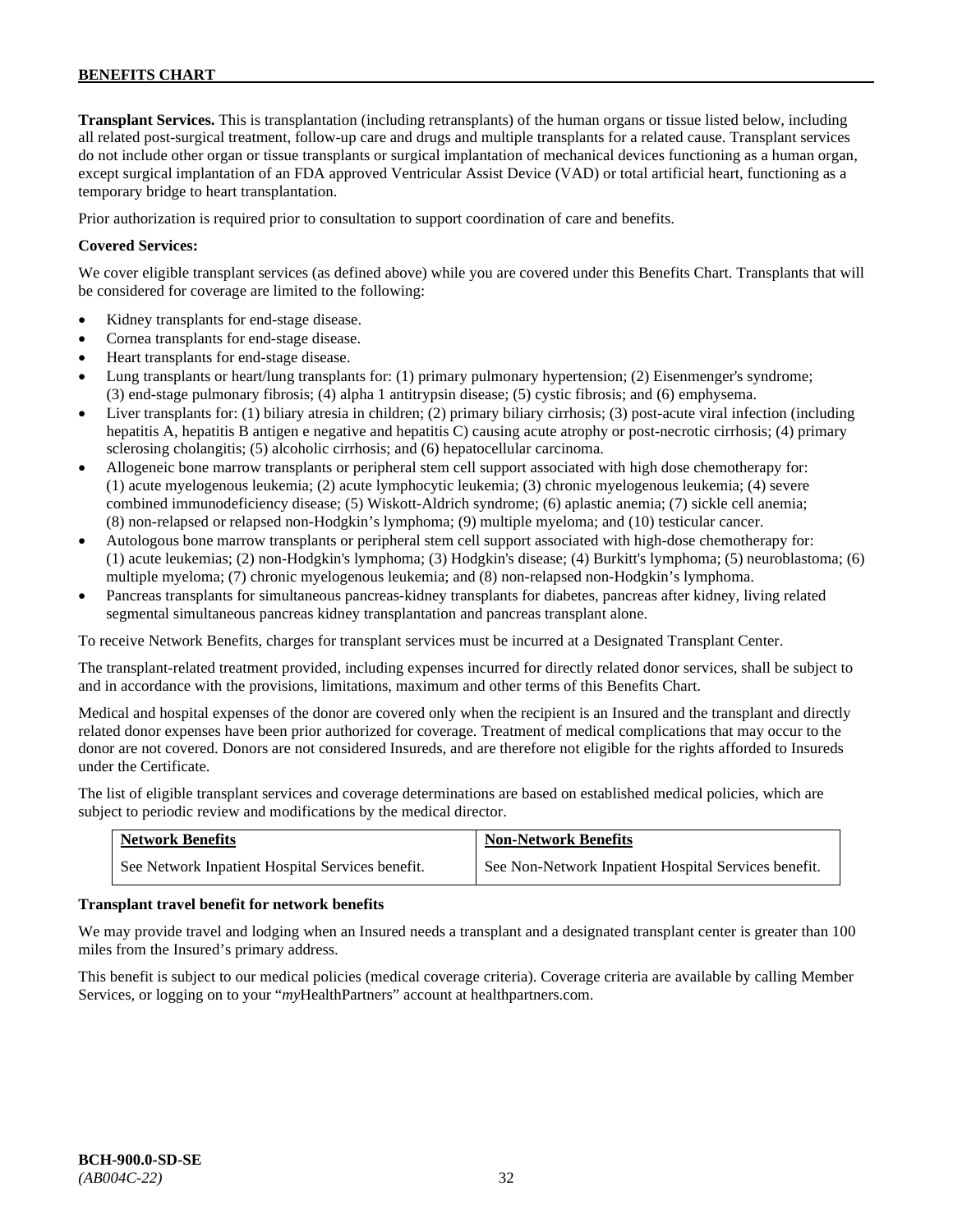**Transplant Services.** This is transplantation (including retransplants) of the human organs or tissue listed below, including all related post-surgical treatment, follow-up care and drugs and multiple transplants for a related cause. Transplant services do not include other organ or tissue transplants or surgical implantation of mechanical devices functioning as a human organ, except surgical implantation of an FDA approved Ventricular Assist Device (VAD) or total artificial heart, functioning as a temporary bridge to heart transplantation.

Prior authorization is required prior to consultation to support coordination of care and benefits.

### **Covered Services:**

We cover eligible transplant services (as defined above) while you are covered under this Benefits Chart. Transplants that will be considered for coverage are limited to the following:

- Kidney transplants for end-stage disease.
- Cornea transplants for end-stage disease.
- Heart transplants for end-stage disease.
- Lung transplants or heart/lung transplants for: (1) primary pulmonary hypertension; (2) Eisenmenger's syndrome; (3) end-stage pulmonary fibrosis; (4) alpha 1 antitrypsin disease; (5) cystic fibrosis; and (6) emphysema.
- Liver transplants for: (1) biliary atresia in children; (2) primary biliary cirrhosis; (3) post-acute viral infection (including hepatitis A, hepatitis B antigen e negative and hepatitis C) causing acute atrophy or post-necrotic cirrhosis; (4) primary sclerosing cholangitis; (5) alcoholic cirrhosis; and (6) hepatocellular carcinoma.
- Allogeneic bone marrow transplants or peripheral stem cell support associated with high dose chemotherapy for: (1) acute myelogenous leukemia; (2) acute lymphocytic leukemia; (3) chronic myelogenous leukemia; (4) severe combined immunodeficiency disease; (5) Wiskott-Aldrich syndrome; (6) aplastic anemia; (7) sickle cell anemia; (8) non-relapsed or relapsed non-Hodgkin's lymphoma; (9) multiple myeloma; and (10) testicular cancer.
- Autologous bone marrow transplants or peripheral stem cell support associated with high-dose chemotherapy for: (1) acute leukemias; (2) non-Hodgkin's lymphoma; (3) Hodgkin's disease; (4) Burkitt's lymphoma; (5) neuroblastoma; (6) multiple myeloma; (7) chronic myelogenous leukemia; and (8) non-relapsed non-Hodgkin's lymphoma.
- Pancreas transplants for simultaneous pancreas-kidney transplants for diabetes, pancreas after kidney, living related segmental simultaneous pancreas kidney transplantation and pancreas transplant alone.

To receive Network Benefits, charges for transplant services must be incurred at a Designated Transplant Center.

The transplant-related treatment provided, including expenses incurred for directly related donor services, shall be subject to and in accordance with the provisions, limitations, maximum and other terms of this Benefits Chart.

Medical and hospital expenses of the donor are covered only when the recipient is an Insured and the transplant and directly related donor expenses have been prior authorized for coverage. Treatment of medical complications that may occur to the donor are not covered. Donors are not considered Insureds, and are therefore not eligible for the rights afforded to Insureds under the Certificate.

The list of eligible transplant services and coverage determinations are based on established medical policies, which are subject to periodic review and modifications by the medical director.

| <b>Network Benefits</b>                          | <b>Non-Network Benefits</b>                          |
|--------------------------------------------------|------------------------------------------------------|
| See Network Inpatient Hospital Services benefit. | See Non-Network Inpatient Hospital Services benefit. |

#### **Transplant travel benefit for network benefits**

We may provide travel and lodging when an Insured needs a transplant and a designated transplant center is greater than 100 miles from the Insured's primary address.

This benefit is subject to our medical policies (medical coverage criteria). Coverage criteria are available by calling Member Services, or logging on to your "*my*HealthPartners" account a[t healthpartners.com.](http://www.healthpartners.com/)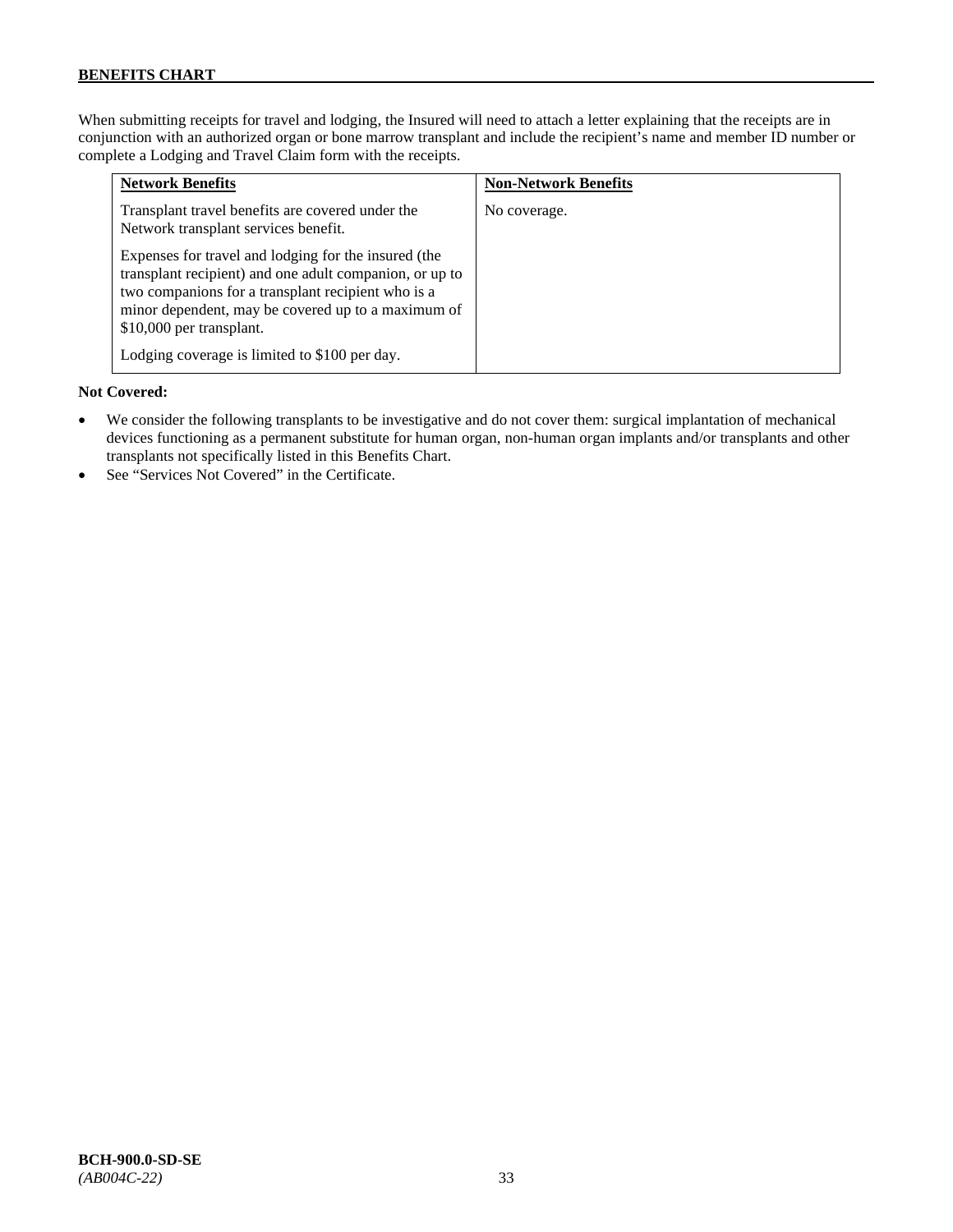When submitting receipts for travel and lodging, the Insured will need to attach a letter explaining that the receipts are in conjunction with an authorized organ or bone marrow transplant and include the recipient's name and member ID number or complete a Lodging and Travel Claim form with the receipts.

| <b>Network Benefits</b>                                                                                                                                                                                                                                 | <b>Non-Network Benefits</b> |
|---------------------------------------------------------------------------------------------------------------------------------------------------------------------------------------------------------------------------------------------------------|-----------------------------|
| Transplant travel benefits are covered under the<br>Network transplant services benefit.                                                                                                                                                                | No coverage.                |
| Expenses for travel and lodging for the insured (the<br>transplant recipient) and one adult companion, or up to<br>two companions for a transplant recipient who is a<br>minor dependent, may be covered up to a maximum of<br>\$10,000 per transplant. |                             |
| Lodging coverage is limited to \$100 per day.                                                                                                                                                                                                           |                             |

#### **Not Covered:**

- We consider the following transplants to be investigative and do not cover them: surgical implantation of mechanical devices functioning as a permanent substitute for human organ, non-human organ implants and/or transplants and other transplants not specifically listed in this Benefits Chart.
- See "Services Not Covered" in the Certificate.